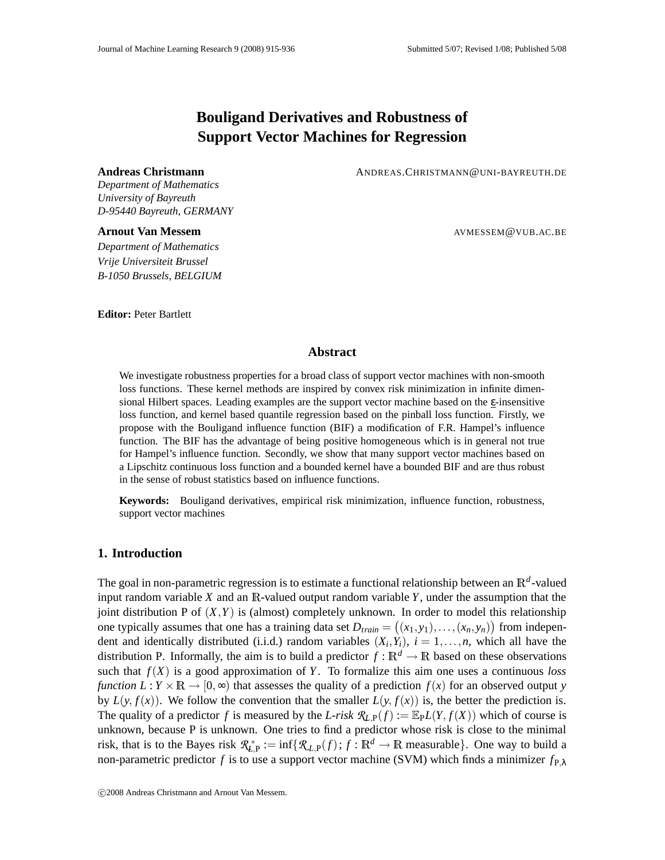# **Bouligand Derivatives and Robustness of Support Vector Machines for Regression**

**Andreas Christmann** ANDREAS.CHRISTMANN@UNI-BAYREUTH.DE

*Department of Mathematics University of Bayreuth D-95440 Bayreuth, GERMANY*

*Department of Mathematics Vrije Universiteit Brussel B-1050 Brussels, BELGIUM*

**Editor:** Peter Bartlett

**Arnout Van Messem AVMESSEM@VUB.AC.BE** 

# **Abstract**

We investigate robustness properties for a broad class of support vector machines with non-smooth loss functions. These kernel methods are inspired by convex risk minimization in infinite dimensional Hilbert spaces. Leading examples are the support vector machine based on the ε-insensitive loss function, and kernel based quantile regression based on the pinball loss function. Firstly, we propose with the Bouligand influence function (BIF) a modification of F.R. Hampel's influence function. The BIF has the advantage of being positive homogeneous which is in general not true for Hampel's influence function. Secondly, we show that many support vector machines based on a Lipschitz continuous loss function and a bounded kernel have a bounded BIF and are thus robust in the sense of robust statistics based on influence functions.

**Keywords:** Bouligand derivatives, empirical risk minimization, influence function, robustness, support vector machines

## **1. Introduction**

The goal in non-parametric regression is to estimate a functional relationship between an  $\mathbb{R}^d$ -valued input random variable  $X$  and an  $\mathbb{R}$ -valued output random variable  $Y$ , under the assumption that the joint distribution P of  $(X, Y)$  is (almost) completely unknown. In order to model this relationship one typically assumes that one has a training data set  $D_{train} = ((x_1, y_1), \ldots, (x_n, y_n))$  from independent and identically distributed (i.i.d.) random variables  $(X_i, Y_i)$ ,  $i = 1, \ldots, n$ , which all have the distribution P. Informally, the aim is to build a predictor  $f : \mathbb{R}^d \to \mathbb{R}$  based on these observations such that  $f(X)$  is a good approximation of *Y*. To formalize this aim one uses a continuous *loss function*  $L: Y \times \mathbb{R} \to [0, \infty)$  that assesses the quality of a prediction  $f(x)$  for an observed output *y* by  $L(y, f(x))$ . We follow the convention that the smaller  $L(y, f(x))$  is, the better the prediction is. The quality of a predictor *f* is measured by the *L-risk*  $\mathcal{R}_{LP}(f) := \mathbb{E}_{PL}(Y, f(X))$  which of course is unknown, because P is unknown. One tries to find a predictor whose risk is close to the minimal risk, that is to the Bayes risk  $\mathcal{R}_{L,P}^* := \inf \{ \mathcal{R}_{L,P}(f) : f : \mathbb{R}^d \to \mathbb{R} \text{ measurable} \}.$  One way to build a non-parametric predictor *f* is to use a support vector machine (SVM) which finds a minimizer  $f_{P,\lambda}$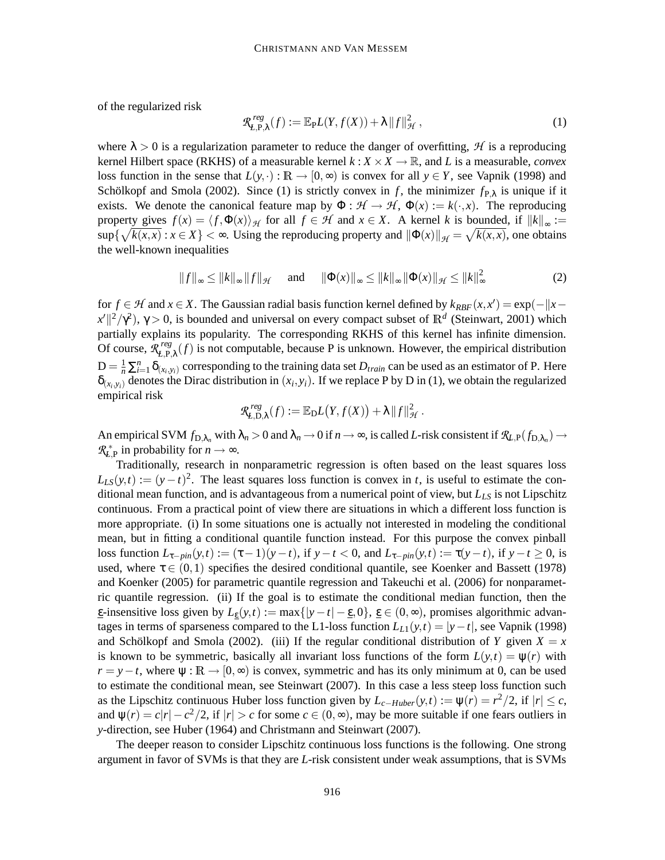of the regularized risk

$$
\mathcal{R}_{L,\mathbf{P},\lambda}^{reg}(f) := \mathbb{E}_{\mathbf{P}}L(Y,f(X)) + \lambda \|f\|_{\mathcal{H}}^2, \qquad (1)
$$

where  $\lambda > 0$  is a regularization parameter to reduce the danger of overfitting, *H* is a reproducing kernel Hilbert space (RKHS) of a measurable kernel  $k: X \times X \to \mathbb{R}$ , and *L* is a measurable, *convex* loss function in the sense that  $L(y, \cdot) : \mathbb{R} \to [0, \infty)$  is convex for all  $y \in Y$ , see Vapnik (1998) and Schölkopf and Smola (2002). Since (1) is strictly convex in *f*, the minimizer  $f_{P,\lambda}$  is unique if it exists. We denote the canonical feature map by  $\Phi : \mathcal{H} \to \mathcal{H}$ ,  $\Phi(x) := k(\cdot, x)$ . The reproducing property gives  $f(x) = \langle f, \Phi(x) \rangle_H$  for all  $f \in \mathcal{H}$  and  $x \in X$ . A kernel *k* is bounded, if  $||k||_{\infty} :=$  $\sup\{\sqrt{k(x,x)} : x \in X\} < \infty$ . Using the reproducing property and  $\|\Phi(x)\|_{\mathcal{H}} = \sqrt{k(x,x)}$ , one obtains the well-known inequalities

$$
||f||_{\infty} \le ||k||_{\infty} ||f||_{\mathcal{H}}
$$
 and  $||\Phi(x)||_{\infty} \le ||k||_{\infty} ||\Phi(x)||_{\mathcal{H}} \le ||k||_{\infty}^2$  (2)

for  $f \in H$  and  $x \in X$ . The Gaussian radial basis function kernel defined by  $k_{RBF}(x, x') = \exp(-||x - y||)$  $x'$  $\vert\vert^2/\gamma^2$ ),  $\gamma > 0$ , is bounded and universal on every compact subset of  $\mathbb{R}^d$  (Steinwart, 2001) which partially explains its popularity. The corresponding RKHS of this kernel has infinite dimension. Of course, *R reg*  $L_{L,P,\lambda}^{reg}(f)$  is not computable, because P is unknown. However, the empirical distribution  $D = \frac{1}{n} \sum_{i=1}^{n} \delta_{(x_i, y_i)}$  corresponding to the training data set  $D_{train}$  can be used as an estimator of P. Here  $\delta_{(x_i, y_i)}$  denotes the Dirac distribution in  $(x_i, y_i)$ . If we replace P by D in (1), we obtain the regularized empirical risk

$$
\mathcal{R}_{L,\mathcal{D},\lambda}^{reg}(f) := \mathbb{E}_{\mathcal{D}}L(Y,f(X)) + \lambda ||f||_{\mathcal{H}}^2.
$$

An empirical SVM  $f_{D,\lambda_n}$  with  $\lambda_n > 0$  and  $\lambda_n \to 0$  if  $n \to \infty$ , is called *L*-risk consistent if  $\mathcal{R}_{L,P}(f_{D,\lambda_n}) \to$  $\mathcal{R}_{L,P}^*$  in probability for  $n \to \infty$ .

Traditionally, research in nonparametric regression is often based on the least squares loss  $L_{LS}(y,t) := (y-t)^2$ . The least squares loss function is convex in *t*, is useful to estimate the conditional mean function, and is advantageous from a numerical point of view, but *LLS* is not Lipschitz continuous. From a practical point of view there are situations in which a different loss function is more appropriate. (i) In some situations one is actually not interested in modeling the conditional mean, but in fitting a conditional quantile function instead. For this purpose the convex pinball loss function  $L_{\tau-pin}(y,t) := (\tau - 1)(y - t)$ , if  $y - t < 0$ , and  $L_{\tau-pin}(y,t) := \tau(y - t)$ , if  $y - t \ge 0$ , is used, where  $\tau \in (0,1)$  specifies the desired conditional quantile, see Koenker and Bassett (1978) and Koenker (2005) for parametric quantile regression and Takeuchi et al. (2006) for nonparametric quantile regression. (ii) If the goal is to estimate the conditional median function, then the  $\epsilon$ -insensitive loss given by  $L_{\epsilon}(y,t) := \max\{|y - t| - \epsilon, 0\}, \epsilon \in (0,\infty)$ , promises algorithmic advantages in terms of sparseness compared to the L1-loss function  $L_{L1}(y,t) = |y-t|$ , see Vapnik (1998) and Schölkopf and Smola (2002). (iii) If the regular conditional distribution of *Y* given  $X = x$ is known to be symmetric, basically all invariant loss functions of the form  $L(y,t) = \psi(r)$  with  $r = y - t$ , where  $\psi : \mathbb{R} \to [0, \infty)$  is convex, symmetric and has its only minimum at 0, can be used to estimate the conditional mean, see Steinwart (2007). In this case a less steep loss function such as the Lipschitz continuous Huber loss function given by  $L_{c-Huber}(y,t) := \psi(r) = r^2/2$ , if  $|r| \le c$ , and  $\psi(r) = c|r| - c^2/2$ , if  $|r| > c$  for some  $c \in (0, \infty)$ , may be more suitable if one fears outliers in *y*-direction, see Huber (1964) and Christmann and Steinwart (2007).

The deeper reason to consider Lipschitz continuous loss functions is the following. One strong argument in favor of SVMs is that they are *L*-risk consistent under weak assumptions, that is SVMs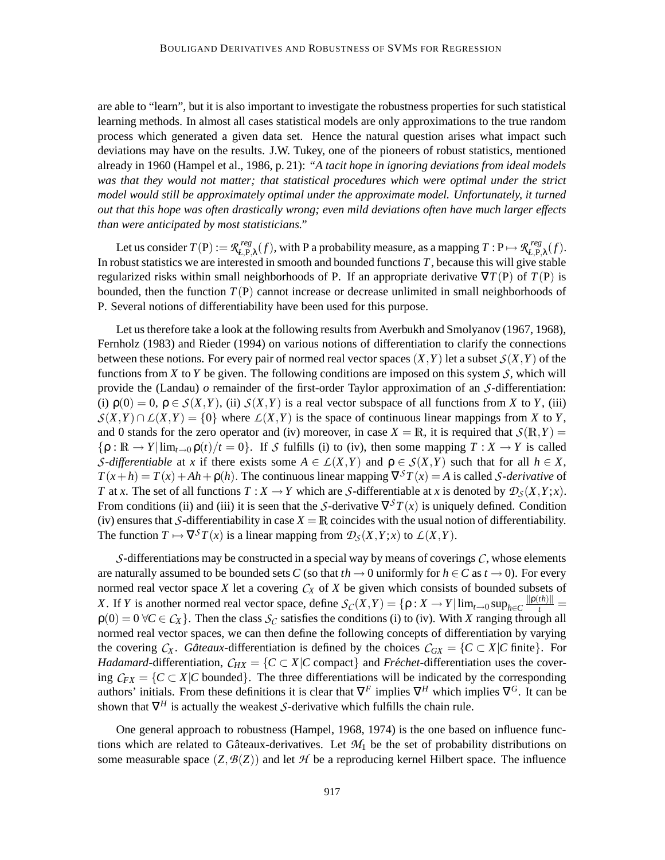are able to "learn", but it is also important to investigate the robustness properties for such statistical learning methods. In almost all cases statistical models are only approximations to the true random process which generated a given data set. Hence the natural question arises what impact such deviations may have on the results. J.W. Tukey, one of the pioneers of robust statistics, mentioned already in 1960 (Hampel et al., 1986, p. 21): *"A tacit hope in ignoring deviations from ideal models was that they would not matter; that statistical procedures which were optimal under the strict model would still be approximately optimal under the approximate model. Unfortunately, it turned out that this hope was often drastically wrong; even mild deviations often have much larger effects than were anticipated by most statisticians."*

Let us consider  $T(P) := \mathcal{R}_{L,P}^{reg}$  $L_{L,P,\lambda}^{reg}(f)$ , with P a probability measure, as a mapping  $T: P \mapsto \mathcal{R}_{L,P,\lambda}^{reg}(f)$  $E_{t,\mathrm{P},\lambda}^{reg}(f).$ In robust statistics we are interested in smooth and bounded functions  $T$ , because this will give stable regularized risks within small neighborhoods of P. If an appropriate derivative  $\nabla T(P)$  of  $T(P)$  is bounded, then the function  $T(P)$  cannot increase or decrease unlimited in small neighborhoods of P. Several notions of differentiability have been used for this purpose.

Let us therefore take a look at the following results from Averbukh and Smolyanov (1967, 1968), Fernholz (1983) and Rieder (1994) on various notions of differentiation to clarify the connections between these notions. For every pair of normed real vector spaces  $(X, Y)$  let a subset  $S(X, Y)$  of the functions from *X* to *Y* be given. The following conditions are imposed on this system *S*, which will provide the (Landau) *o* remainder of the first-order Taylor approximation of an *S*-differentiation: (i)  $\rho(0) = 0$ ,  $\rho \in S(X, Y)$ , (ii)  $S(X, Y)$  is a real vector subspace of all functions from *X* to *Y*, (iii)  $S(X,Y) \cap L(X,Y) = \{0\}$  where  $L(X,Y)$  is the space of continuous linear mappings from *X* to *Y*, and 0 stands for the zero operator and (iv) moreover, in case  $X = \mathbb{R}$ , it is required that  $\mathcal{S}(\mathbb{R}, Y) =$  $\{\rho : \mathbb{R} \to Y | \lim_{t \to 0} \rho(t) / t = 0\}$ . If *S* fulfills (i) to (iv), then some mapping  $T : X \to Y$  is called *S*-differentiable at *x* if there exists some  $A \in L(X,Y)$  and  $\rho \in S(X,Y)$  such that for all  $h \in X$ ,  $T(x+h) = T(x) + Ah + \rho(h)$ . The continuous linear mapping  $\nabla^S T(x) = A$  is called *S*-derivative of *T* at *x*. The set of all functions  $T : X \to Y$  which are *S*-differentiable at *x* is denoted by  $\mathcal{D}_S(X, Y; x)$ . From conditions (ii) and (iii) it is seen that the *S*-derivative  $\nabla^S T(x)$  is uniquely defined. Condition (iv) ensures that *S*-differentiability in case  $X = \mathbb{R}$  coincides with the usual notion of differentiability. The function  $T \mapsto \nabla^S T(x)$  is a linear mapping from  $\mathcal{D}_S(X, Y; x)$  to  $\mathcal{L}(X, Y)$ .

*S*-differentiations may be constructed in a special way by means of coverings *C*, whose elements are naturally assumed to be bounded sets *C* (so that  $th \to 0$  uniformly for  $h \in C$  as  $t \to 0$ ). For every normed real vector space *X* let a covering  $C_X$  of *X* be given which consists of bounded subsets of *X*. If *Y* is another normed real vector space, define  $S_C(X, Y) = \{ \rho : X \to Y | \lim_{t \to 0} \sup_{h \in C} \frac{\| \rho(th) \|}{t} =$  $\rho(0) = 0 \,\forall C \in C_X$ . Then the class  $S_C$  satisfies the conditions (i) to (iv). With *X* ranging through all normed real vector spaces, we can then define the following concepts of differentiation by varying the covering  $C_X$ . *Gâteaux*-differentiation is defined by the choices  $C_{GX} = \{C \subset X | C \text{ finite}\}\.$  For *Hadamard*-differentiation,  $C_{HX} = \{C \subset X | C \text{ compact} \}$  and *Fréchet*-differentiation uses the covering  $C_{FX} = \{C \subset X | C \text{ bounded}\}\.$  The three differentiations will be indicated by the corresponding authors' initials. From these definitions it is clear that  $\nabla^F$  implies  $\nabla^H$  which implies  $\nabla^G$ . It can be shown that  $\nabla^H$  is actually the weakest *S*-derivative which fulfills the chain rule.

One general approach to robustness (Hampel, 1968, 1974) is the one based on influence functions which are related to Gâteaux-derivatives. Let  $\mathcal{M}_1$  be the set of probability distributions on some measurable space  $(Z, \mathcal{B}(Z))$  and let  $\mathcal{H}$  be a reproducing kernel Hilbert space. The influence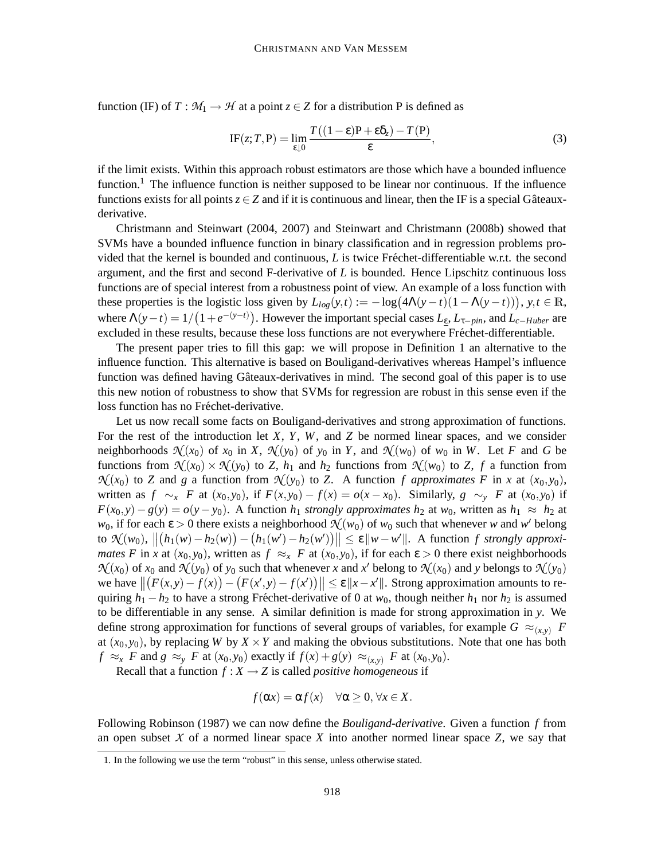function (IF) of  $T : M_1 \to H$  at a point  $z \in Z$  for a distribution P is defined as

$$
IF(z;T,P) = \lim_{\varepsilon \downarrow 0} \frac{T((1-\varepsilon)P + \varepsilon \delta_z) - T(P)}{\varepsilon},\tag{3}
$$

if the limit exists. Within this approach robust estimators are those which have a bounded influence function.<sup>1</sup> The influence function is neither supposed to be linear nor continuous. If the influence functions exists for all points  $z \in Z$  and if it is continuous and linear, then the IF is a special Gâteauxderivative.

Christmann and Steinwart (2004, 2007) and Steinwart and Christmann (2008b) showed that SVMs have a bounded influence function in binary classification and in regression problems provided that the kernel is bounded and continuous,  $L$  is twice Fréchet-differentiable w.r.t. the second argument, and the first and second F-derivative of *L* is bounded. Hence Lipschitz continuous loss functions are of special interest from a robustness point of view. An example of a loss function with these properties is the logistic loss given by  $L_{log}(y,t) := -\log(4\Lambda(y-t)(1-\Lambda(y-t))), y, t \in \mathbb{R}$ , where  $\Lambda(y-t) = 1/(1+e^{-(y-t)})$ . However the important special cases  $L_{\varepsilon}$ ,  $L_{\tau-\varepsilon}$ , and  $L_{c-Huber}$  are excluded in these results, because these loss functions are not everywhere Fréchet-differentiable.

The present paper tries to fill this gap: we will propose in Definition 1 an alternative to the influence function. This alternative is based on Bouligand-derivatives whereas Hampel's influence function was defined having Gâteaux-derivatives in mind. The second goal of this paper is to use this new notion of robustness to show that SVMs for regression are robust in this sense even if the loss function has no Fréchet-derivative.

Let us now recall some facts on Bouligand-derivatives and strong approximation of functions. For the rest of the introduction let *X*, *Y*, *W*, and *Z* be normed linear spaces, and we consider neighborhoods  $\mathcal{N}(x_0)$  of  $x_0$  in X,  $\mathcal{N}(y_0)$  of  $y_0$  in Y, and  $\mathcal{N}(w_0)$  of  $w_0$  in W. Let F and G be functions from  $\mathcal{N}(x_0) \times \mathcal{N}(y_0)$  to *Z*,  $h_1$  and  $h_2$  functions from  $\mathcal{N}(w_0)$  to *Z*,  $f$  a function from  $\mathcal{N}(x_0)$  to *Z* and *g* a function from  $\mathcal{N}(y_0)$  to *Z*. A function *f* approximates *F* in *x* at  $(x_0, y_0)$ , written as  $f \sim_x F$  at  $(x_0, y_0)$ , if  $F(x, y_0) - f(x) = o(x - x_0)$ . Similarly,  $g \sim_y F$  at  $(x_0, y_0)$  if  $F(x_0, y) - g(y) = o(y - y_0)$ . A function *h*<sub>1</sub> *strongly approximates h*<sub>2</sub> at *w*<sub>0</sub>, written as *h*<sub>1</sub> ≈ *h*<sub>2</sub> at *w*<sub>0</sub>, if for each  $\varepsilon > 0$  there exists a neighborhood  $\mathcal{N}(w_0)$  of  $w_0$  such that whenever *w* and *w*<sup>*'*</sup> belong  $\mathcal{H}(w_0), \ \| (h_1(w) - h_2(w)) - (h_1(w') - h_2(w')) \| \leq \varepsilon \| w - w' \|.$  A function *f strongly approximates F* in *x* at  $(x_0, y_0)$ , written as  $f \approx_x F$  at  $(x_0, y_0)$ , if for each  $\varepsilon > 0$  there exist neighborhoods  $\mathcal{N}(x_0)$  of  $x_0$  and  $\mathcal{N}(y_0)$  of  $y_0$  such that whenever *x* and *x*<sup>*'*</sup> belong to  $\mathcal{N}(x_0)$  and *y* belongs to  $\mathcal{N}(y_0)$ we have  $||(F(x,y)-f(x)) - (F(x',y)-f(x'))|| \le \varepsilon ||x-x'||$ . Strong approximation amounts to requiring  $h_1 - h_2$  to have a strong Fréchet-derivative of 0 at  $w_0$ , though neither  $h_1$  nor  $h_2$  is assumed to be differentiable in any sense. A similar definition is made for strong approximation in *y*. We define strong approximation for functions of several groups of variables, for example  $G \approx_{(x,y)} F$ at  $(x_0, y_0)$ , by replacing *W* by  $X \times Y$  and making the obvious substitutions. Note that one has both  $f \approx_{x}$  *F* and  $g \approx_{y}$  *F* at  $(x_0, y_0)$  exactly if  $f(x) + g(y) \approx_{(x,y)}$  *F* at  $(x_0, y_0)$ .

Recall that a function  $f : X \to Z$  is called *positive homogeneous* if

$$
f(\alpha x) = \alpha f(x) \quad \forall \alpha \ge 0, \forall x \in X.
$$

Following Robinson (1987) we can now define the *Bouligand-derivative*. Given a function *f* from an open subset  $X$  of a normed linear space  $X$  into another normed linear space  $Z$ , we say that

<sup>1.</sup> In the following we use the term "robust" in this sense, unless otherwise stated.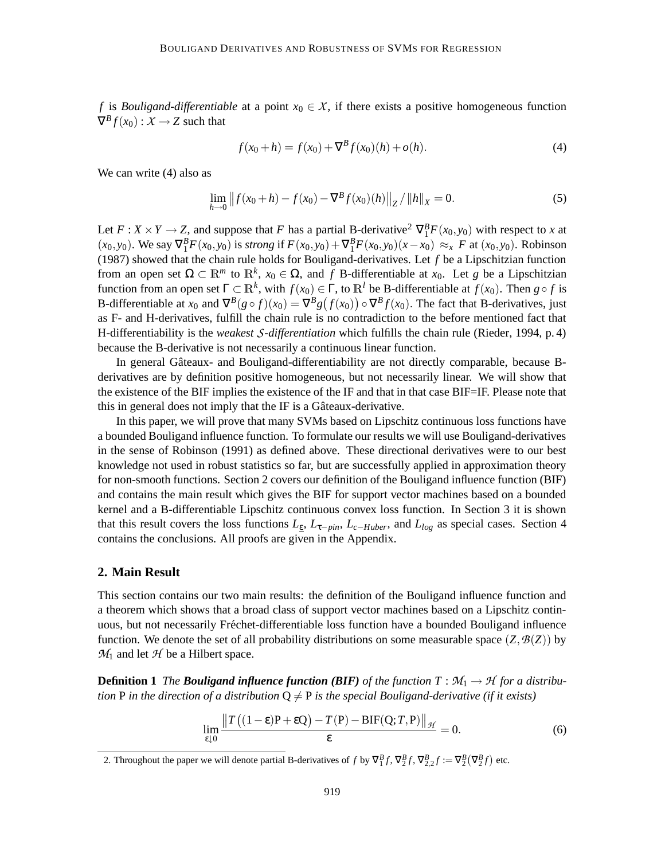*f* is *Bouligand-differentiable* at a point  $x_0 \in X$ , if there exists a positive homogeneous function  $\nabla^B f(x_0) : X \to Z$  such that

$$
f(x_0 + h) = f(x_0) + \nabla^B f(x_0)(h) + o(h).
$$
\n(4)

We can write  $(4)$  also as

$$
\lim_{h \to 0} ||f(x_0 + h) - f(x_0) - \nabla^B f(x_0)(h)||_Z / ||h||_X = 0.
$$
\n(5)

Let  $F: X \times Y \to Z$ , and suppose that *F* has a partial B-derivative<sup>2</sup>  $\nabla_1^B F(x_0, y_0)$  with respect to *x* at  $(x_0, y_0)$ . We say  $\nabla_1^B F(x_0, y_0)$  is *strong* if  $F(x_0, y_0) + \nabla_1^B F(x_0, y_0)(x - x_0) \approx_x F$  at  $(x_0, y_0)$ . Robinson (1987) showed that the chain rule holds for Bouligand-derivatives. Let *f* be a Lipschitzian function from an open set  $\Omega \subset \mathbb{R}^m$  to  $\mathbb{R}^k$ ,  $x_0 \in \Omega$ , and f B-differentiable at  $x_0$ . Let g be a Lipschitzian function from an open set  $\Gamma \subset \mathbb{R}^k$ , with  $f(x_0) \in \Gamma$ , to  $\mathbb{R}^l$  be B-differentiable at  $f(x_0)$ . Then  $g \circ f$  is B-differentiable at  $x_0$  and  $\nabla^B(g \circ f)(x_0) = \nabla^B g(f(x_0)) \circ \nabla^B f(x_0)$ . The fact that B-derivatives, just as F- and H-derivatives, fulfill the chain rule is no contradiction to the before mentioned fact that H-differentiability is the *weakest S-differentiation* which fulfills the chain rule (Rieder, 1994, p. 4) because the B-derivative is not necessarily a continuous linear function.

In general Gâteaux- and Bouligand-differentiability are not directly comparable, because Bderivatives are by definition positive homogeneous, but not necessarily linear. We will show that the existence of the BIF implies the existence of the IF and that in that case BIF=IF. Please note that this in general does not imply that the IF is a Gâteaux-derivative.

In this paper, we will prove that many SVMs based on Lipschitz continuous loss functions have a bounded Bouligand influence function. To formulate our results we will use Bouligand-derivatives in the sense of Robinson (1991) as defined above. These directional derivatives were to our best knowledge not used in robust statistics so far, but are successfully applied in approximation theory for non-smooth functions. Section 2 covers our definition of the Bouligand influence function (BIF) and contains the main result which gives the BIF for support vector machines based on a bounded kernel and a B-differentiable Lipschitz continuous convex loss function. In Section 3 it is shown that this result covers the loss functions  $L_{\varepsilon}$ ,  $L_{\tau-ph}$ ,  $L_{c-Huber}$ , and  $L_{log}$  as special cases. Section 4 contains the conclusions. All proofs are given in the Appendix.

#### **2. Main Result**

This section contains our two main results: the definition of the Bouligand influence function and a theorem which shows that a broad class of support vector machines based on a Lipschitz continuous, but not necessarily Fréchet-differentiable loss function have a bounded Bouligand influence function. We denote the set of all probability distributions on some measurable space  $(Z, \mathcal{B}(Z))$  by  $M_1$  and let  $H$  be a Hilbert space.

**Definition 1** *The Bouligand influence function (BIF) of the function*  $T : M_1 \to H$  *for a distribution* P in the direction of a distribution  $Q \neq P$  is the special Bouligand-derivative (if it exists)

$$
\lim_{\varepsilon \downarrow 0} \frac{\|T((1-\varepsilon)P + \varepsilon Q) - T(P) - \mathrm{BIF}(Q; T, P)\|_{\mathcal{H}}}{\varepsilon} = 0.
$$
\n(6)

2. Throughout the paper we will denote partial B-derivatives of *f* by  $\nabla_1^B f$ ,  $\nabla_2^B f$ ,  $\nabla_2^B f$ ,  $\nabla_2^B f$  =  $\nabla_2^B (\nabla_2^B f)$  etc.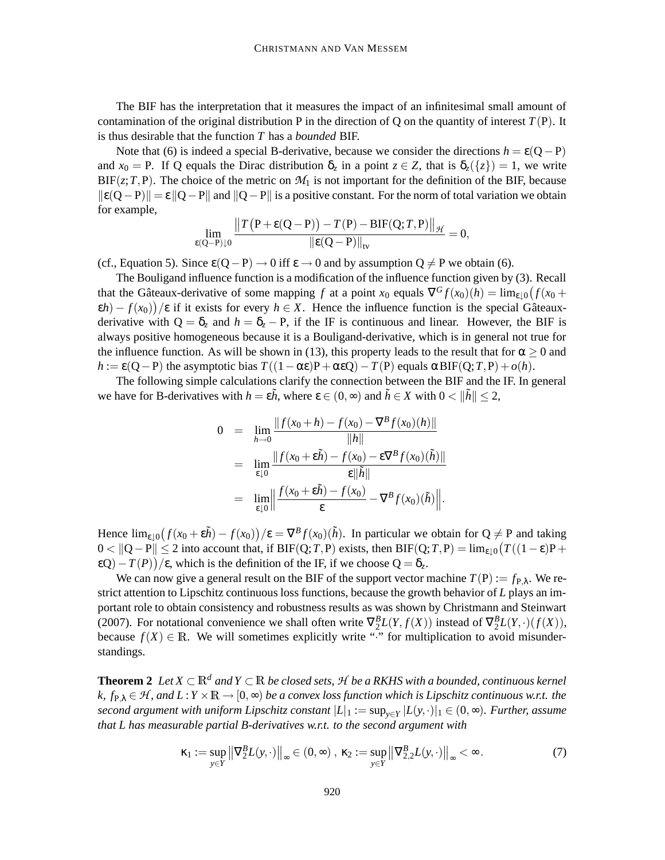The BIF has the interpretation that it measures the impact of an infinitesimal small amount of contamination of the original distribution P in the direction of Q on the quantity of interest  $T(P)$ . It is thus desirable that the function *T* has a *bounded* BIF.

Note that (6) is indeed a special B-derivative, because we consider the directions  $h = \varepsilon (Q - P)$ and  $x_0 = P$ . If Q equals the Dirac distribution  $\delta_z$  in a point  $z \in Z$ , that is  $\delta_z(\{z\}) = 1$ , we write  $BIF(z; T, P)$ . The choice of the metric on  $M_1$  is not important for the definition of the BIF, because  $\| \epsilon(Q-P) \| = \epsilon \| Q-P \|$  and  $\| Q-P \|$  is a positive constant. For the norm of total variation we obtain for example,

$$
\lim_{\epsilon(Q-P)\downarrow 0}\frac{\big\|T\big({\rm P}+\epsilon({\rm Q}-{\rm P})\big)-T({\rm P})-{\rm BIF}({\rm Q};T,{\rm P})\big\|_{\mathcal{H}}}{\|\epsilon({\rm Q}-{\rm P})\|_{\rm tv}}=0,
$$

(cf., Equation 5). Since  $\varepsilon(Q-P) \to 0$  iff  $\varepsilon \to 0$  and by assumption  $Q \neq P$  we obtain (6).

The Bouligand influence function is a modification of the influence function given by (3). Recall that the Gâteaux-derivative of some mapping *f* at a point  $x_0$  equals  $\nabla^G f(x_0)(h) = \lim_{\varepsilon \downarrow 0} (f(x_0 +$  $(\epsilon h) - f(x_0)$ ) / $\epsilon$  if it exists for every  $h \in X$ . Hence the influence function is the special Gâteauxderivative with  $Q = \delta_z$  and  $h = \delta_z - P$ , if the IF is continuous and linear. However, the BIF is always positive homogeneous because it is a Bouligand-derivative, which is in general not true for the influence function. As will be shown in (13), this property leads to the result that for  $\alpha \ge 0$  and  $h := \varepsilon(Q - P)$  the asymptotic bias  $T((1 - \alpha \varepsilon)P + \alpha \varepsilon Q) - T(P)$  equals  $\alpha \text{BIF}(Q; T, P) + o(h)$ .

The following simple calculations clarify the connection between the BIF and the IF. In general we have for B-derivatives with  $h = \varepsilon \tilde{h}$ , where  $\varepsilon \in (0, \infty)$  and  $\tilde{h} \in X$  with  $0 < ||\tilde{h}|| \leq 2$ ,

$$
0 = \lim_{h \to 0} \frac{\|f(x_0 + h) - f(x_0) - \nabla^B f(x_0)(h)\|}{\|h\|}
$$
  
\n
$$
= \lim_{\varepsilon \downarrow 0} \frac{\|f(x_0 + \varepsilon \tilde{h}) - f(x_0) - \varepsilon \nabla^B f(x_0)(\tilde{h})\|}{\varepsilon \|\tilde{h}\|}
$$
  
\n
$$
= \lim_{\varepsilon \downarrow 0} \left\| \frac{f(x_0 + \varepsilon \tilde{h}) - f(x_0)}{\varepsilon} - \nabla^B f(x_0)(\tilde{h}) \right\|.
$$

Hence  $\lim_{\varepsilon \downarrow 0} (f(x_0 + \varepsilon \tilde{h}) - f(x_0)) / \varepsilon = \nabla^B f(x_0)(\tilde{h})$ . In particular we obtain for  $Q \neq P$  and taking  $0 < ||Q-P|| ≤ 2$  into account that, if BIF(Q;*T*,P) exists, then BIF(Q;*T*,P) = lim<sub>ε↓0</sub>( $T((1 - \varepsilon)P +$ ε $Q$ ) –  $T(P)$ ) /ε, which is the definition of the IF, if we choose  $Q = \delta_z$ .

We can now give a general result on the BIF of the support vector machine  $T(P) := f_{P,\lambda}$ . We restrict attention to Lipschitz continuous loss functions, because the growth behavior of *L* plays an important role to obtain consistency and robustness results as was shown by Christmann and Steinwart (2007). For notational convenience we shall often write  $\nabla_2^B L(Y, f(X))$  instead of  $\nabla_2^B L(Y, \cdot)(f(X))$ , because  $f(X) \in \mathbb{R}$ . We will sometimes explicitly write ":" for multiplication to avoid misunderstandings.

**Theorem 2** Let  $X ⊂ ℝ<sup>d</sup>$  and  $Y ⊂ ℝ$  *be closed sets,*  $H$  *be a RKHS with a bounded, continuous kernel* k,  $f_{\rm P,\lambda}\in\mathcal{H}$ , and  $L$  :  $Y\times\mathbb{R}\to[0,\infty)$  be a convex loss function which is Lipschitz continuous w.r.t. the  $s$ econd argument with uniform Lipschitz  $constant$   $|L|_1 := \sup_{y \in Y} |L(y, \cdot)|_1 \in (0, \infty)$ . Further, assume *that L has measurable partial B-derivatives w.r.t. to the second argument with*

$$
\kappa_1 := \sup_{y \in Y} \left\| \nabla_2^B L(y, \cdot) \right\|_{\infty} \in (0, \infty), \ \kappa_2 := \sup_{y \in Y} \left\| \nabla_{2,2}^B L(y, \cdot) \right\|_{\infty} < \infty. \tag{7}
$$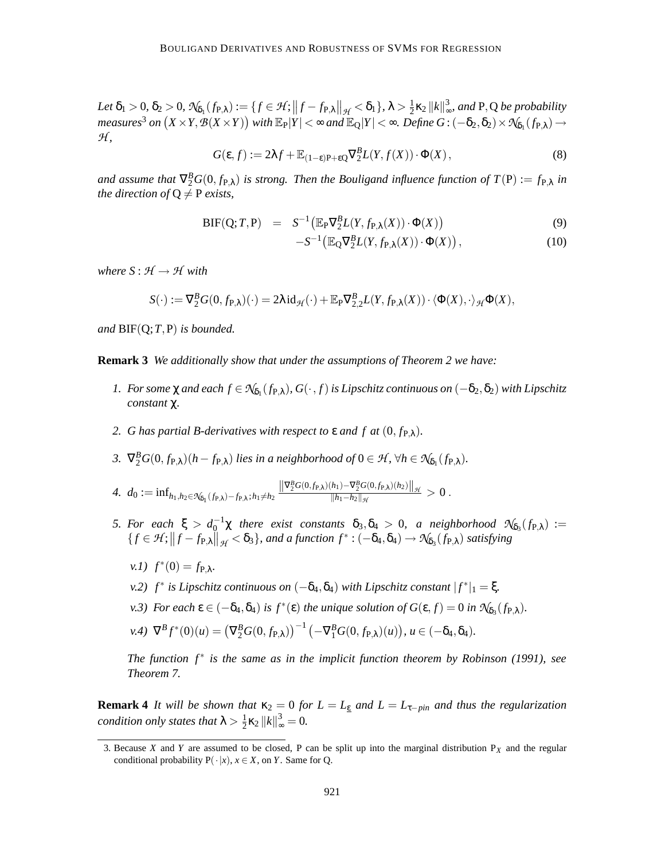$\mathcal{L}et \delta_1 > 0, \delta_2 > 0, \mathcal{N}_{\delta_1}(f_{\mathsf{P},\lambda}) := \{ f \in \mathcal{H}; \left\| f - f_{\mathsf{P},\lambda} \right\|_{\mathcal{H}} < \delta_1 \}, \lambda > \frac{1}{2}$  $\frac{1}{2}$ **k**<sub>2</sub> ||**k**||<sup>3</sup><sub>∞</sub> ∞ *, and* P,Q *be probability*  $measures^{3}$  *on*  $(X \times Y, \mathcal{B}(X \times Y))$  with  $\mathbb{E}_{\text{P}} |Y| < \infty$  and  $\mathbb{E}_{\text{Q}} |Y| < \infty$ . Define  $G$  :  $(-\delta_{2}, \delta_{2}) \times \mathcal{N}_{\delta_{1}}(f_{\text{P},\lambda}) \to 0$ *H ,*

$$
G(\varepsilon, f) := 2\lambda f + \mathbb{E}_{(1-\varepsilon)P + \varepsilon Q} \nabla_2^B L(Y, f(X)) \cdot \Phi(X), \tag{8}
$$

and assume that  $\nabla^B_2G(0, f_{P,\lambda})$  is strong. Then the Bouligand influence function of  $T(P) := f_{P,\lambda}$  in *the direction of*  $Q \neq P$  *exists,* 

$$
BIF(Q;T,P) = S^{-1} \left( \mathbb{E}_{P} \nabla_{2}^{B} L(Y, f_{P,\lambda}(X)) \cdot \Phi(X) \right) \tag{9}
$$

$$
-S^{-1}\left(\mathbb{E}_{Q}\nabla_{2}^{B}L(Y,f_{P,\lambda}(X))\cdot\Phi(X)\right),\tag{10}
$$

*where*  $S: H \rightarrow H$  *with* 

$$
S(\cdot) := \nabla_2^B G(0, f_{\mathbf{P}, \lambda})(\cdot) = 2\lambda \operatorname{id}_{\mathcal{H}}(\cdot) + \mathbb{E}_{\mathbf{P}} \nabla_{2,2}^B L(Y, f_{\mathbf{P}, \lambda}(X)) \cdot \langle \Phi(X), \cdot \rangle_{\mathcal{H}} \Phi(X),
$$

*and* BIF(Q;*T*,P) *is bounded.*

**Remark 3** *We additionally show that under the assumptions of Theorem 2 we have:*

- *1.* For some  $\chi$  and each  $f \in \mathcal{N}_{\delta_1}(f_{P,\lambda})$ ,  $G(\cdot, f)$  is Lipschitz continuous on  $(-\delta_2, \delta_2)$  with Lipschitz *constant* χ*.*
- *2. G* has partial *B*-derivatives with respect to  $\varepsilon$  and  $f$  at  $(0, f_{P,\lambda})$ .
- *3.*  $\nabla_2^B G(0, f_{\mathbf{P},\lambda})(h f_{\mathbf{P},\lambda})$  *lies in a neighborhood of*  $0 \in \mathcal{H}$ ,  $\forall h \in \mathcal{N}_{\delta_1}(f_{\mathbf{P},\lambda})$ .
- *4.*  $d_0 := \inf_{h_1, h_2 \in \mathcal{N}_{\delta_1}(f_{P,\lambda}) f_{P,\lambda}; h_1 \neq h_2}$  $\left\|\nabla_2^B G(0, f_{\mathbf{P},\lambda})(h_1) - \nabla_2^B G(0, f_{\mathbf{P},\lambda})(h_2)\right\|_{\mathcal{H}}$  $\frac{h_1 - h_2}{\|h_1 - h_2\|_{\mathcal{H}}} > 0$ .
- *5. For each*  $\xi > d_0^{-1} \chi$  *there exist constants*  $\delta_3, \delta_4 > 0$ , *a neighborhood*  $\mathcal{N}_{\delta_3}(f_{\mathsf{P},\lambda}) :=$  $\{f \in \mathcal{H} : ||f - f_{\mathsf{P},\lambda}||_{\mathcal{H}} < \delta_3\}$ , and a function  $f^* : (-\delta_4, \delta_4) \to \mathcal{N}_{\delta_3}(f_{\mathsf{P},\lambda})$  satisfying
	- *v.1*)  $f^*(0) = f_{P,\lambda}$ .
	- *v.2) f*<sup>\*</sup> *is Lipschitz continuous on*  $(-δ<sub>4</sub>,δ<sub>4</sub>)$  *with Lipschitz constant*  $|f^*|_1 = ξ$ .
	- *v.3*) *For each*  $\epsilon \in (-\delta_4, \delta_4)$  *is*  $f^*(\epsilon)$  *the unique solution of*  $G(\epsilon, f) = 0$  *in*  $\mathcal{N}_{\delta_3}(f_{\mathbf{P}, \lambda})$ *.*
	- $v \in V^B f^*(0)(u) = (\nabla_2^B G(0, f_{\mathbf{P},\lambda}))^{-1} (-\nabla_1^B G(0, f_{\mathbf{P},\lambda})(u)), u \in (-\delta_4, \delta_4).$

*The function f* ∗ *is the same as in the implicit function theorem by Robinson (1991), see Theorem 7.*

**Remark** 4 *It will be shown that*  $\kappa_2 = 0$  *for*  $L = L_{\epsilon}$  *and*  $L = L_{\tau - pin}$  *and thus the regularization condition only states that*  $\lambda > \frac{1}{2}$  $\frac{1}{2}\kappa_2 ||k||_{\infty}^3 = 0.$ 

<sup>3.</sup> Because *X* and *Y* are assumed to be closed, P can be split up into the marginal distribution  $P_X$  and the regular conditional probability  $P(\cdot|x)$ ,  $x \in X$ , on *Y*. Same for Q.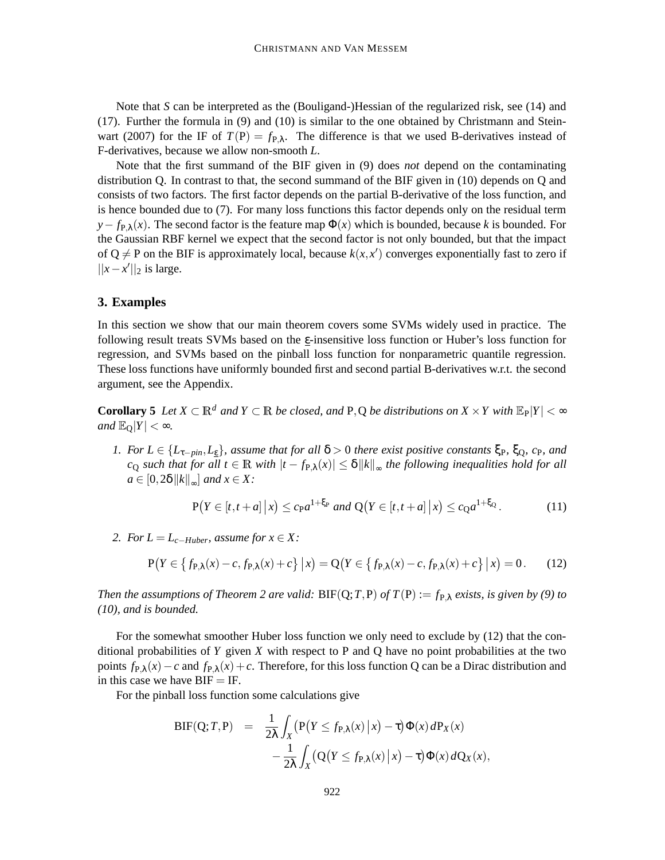Note that *S* can be interpreted as the (Bouligand-)Hessian of the regularized risk, see (14) and (17). Further the formula in (9) and (10) is similar to the one obtained by Christmann and Steinwart (2007) for the IF of  $T(P) = f_{P,\lambda}$ . The difference is that we used B-derivatives instead of F-derivatives, because we allow non-smooth *L*.

Note that the first summand of the BIF given in (9) does *not* depend on the contaminating distribution Q. In contrast to that, the second summand of the BIF given in (10) depends on Q and consists of two factors. The first factor depends on the partial B-derivative of the loss function, and is hence bounded due to (7). For many loss functions this factor depends only on the residual term  $y - f_{P\lambda}(x)$ . The second factor is the feature map  $\Phi(x)$  which is bounded, because *k* is bounded. For the Gaussian RBF kernel we expect that the second factor is not only bounded, but that the impact of  $Q \neq P$  on the BIF is approximately local, because  $k(x, x')$  converges exponentially fast to zero if  $||x-x'||_2$  is large.

### **3. Examples**

In this section we show that our main theorem covers some SVMs widely used in practice. The following result treats SVMs based on the  $\varepsilon$ -insensitive loss function or Huber's loss function for regression, and SVMs based on the pinball loss function for nonparametric quantile regression. These loss functions have uniformly bounded first and second partial B-derivatives w.r.t. the second argument, see the Appendix.

**Corollary** 5 Let  $X \subset \mathbb{R}^d$  and  $Y \subset \mathbb{R}$  be closed, and P, Q be distributions on  $X \times Y$  with  $\mathbb{E}_P|Y| < \infty$ *and*  $\mathbb{E}_{\Omega}|Y| < \infty$ *.* 

1. For  $L \in \{L_{\tau-\text{pin}}, L_{\varepsilon}\}\$ , assume that for all  $\delta > 0$  there exist positive constants  $\xi_{\text{P}}$ ,  $\xi_{\text{O}}$ ,  $c_{\text{P}}$ , and  $c_Q$  *such that for all*  $t \in \mathbb{R}$  *with*  $|t - f_{P,\lambda}(x)| \le \delta ||k||_{\infty}$  *the following inequalities hold for all*  $a \in [0, 2\delta \, ||k||_{\infty}]$  and  $x \in X$ :

$$
P(Y \in [t, t+a] \mid x) \le c_{P} a^{1+\xi_{P}} \text{ and } Q(Y \in [t, t+a] \mid x) \le c_{Q} a^{1+\xi_{Q}}.
$$
 (11)

*2. For*  $L = L_{c-Huber}$ *, assume for*  $x \in X$ *:* 

$$
P(Y \in \{f_{P,\lambda}(x) - c, f_{P,\lambda}(x) + c\} | x) = Q(Y \in \{f_{P,\lambda}(x) - c, f_{P,\lambda}(x) + c\} | x) = 0. \tag{12}
$$

*Then the assumptions of Theorem* 2 *are valid:*  $BIF(Q; T, P)$  *of*  $T(P) := f_{P, \lambda}$  *exists, is given by* (9) *to (10), and is bounded.*

For the somewhat smoother Huber loss function we only need to exclude by (12) that the conditional probabilities of *Y* given *X* with respect to P and Q have no point probabilities at the two points  $f_{P\lambda}(x) - c$  and  $f_{P\lambda}(x) + c$ . Therefore, for this loss function Q can be a Dirac distribution and in this case we have  $BIF = IF$ .

For the pinball loss function some calculations give

$$
BIF(Q;T,P) = \frac{1}{2\lambda} \int_X (P(Y \le f_{P,\lambda}(x) | x) - \tau) \Phi(x) dP_X(x)
$$

$$
- \frac{1}{2\lambda} \int_X (Q(Y \le f_{P,\lambda}(x) | x) - \tau) \Phi(x) dQ_X(x),
$$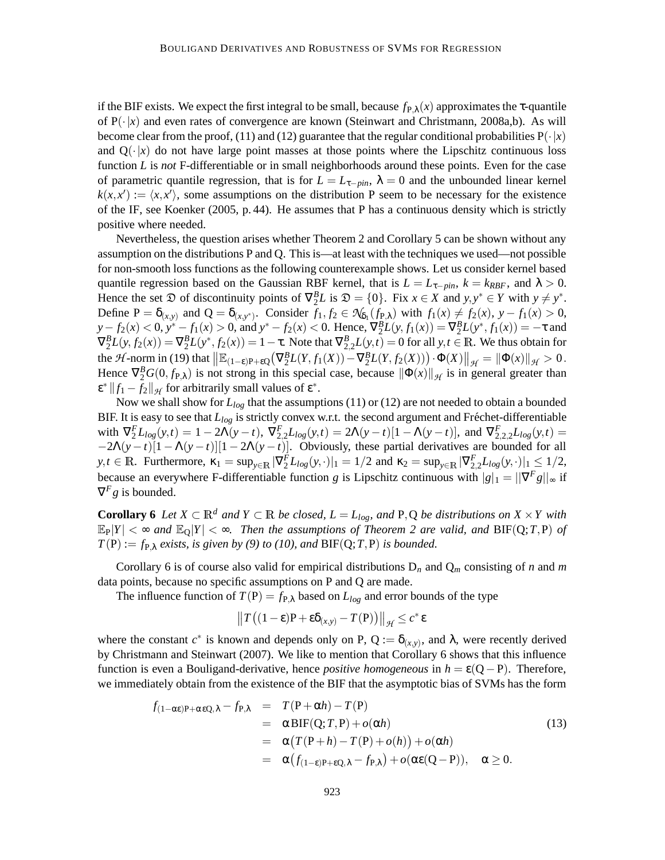if the BIF exists. We expect the first integral to be small, because  $f_{P,\lambda}(x)$  approximates the  $\tau$ -quantile of  $P(\cdot|x)$  and even rates of convergence are known (Steinwart and Christmann, 2008a,b). As will become clear from the proof, (11) and (12) guarantee that the regular conditional probabilities  $P(\cdot|x)$ and  $Q(\cdot|x)$  do not have large point masses at those points where the Lipschitz continuous loss function *L* is *not* F-differentiable or in small neighborhoods around these points. Even for the case of parametric quantile regression, that is for  $L = L_{\tau - pin}$ ,  $\lambda = 0$  and the unbounded linear kernel  $k(x, x') := \langle x, x' \rangle$ , some assumptions on the distribution P seem to be necessary for the existence of the IF, see Koenker (2005, p. 44). He assumes that P has a continuous density which is strictly positive where needed.

Nevertheless, the question arises whether Theorem 2 and Corollary 5 can be shown without any assumption on the distributions P and Q. This is—at least with the techniques we used—not possible for non-smooth loss functions as the following counterexample shows. Let us consider kernel based quantile regression based on the Gaussian RBF kernel, that is  $L = L_{\tau - pin}$ ,  $k = k_{RBF}$ , and  $\lambda > 0$ . Hence the set  $\mathfrak{D}$  of discontinuity points of  $\nabla_2^B L$  is  $\mathfrak{D} = \{0\}$ . Fix  $x \in X$  and  $y, y^* \in Y$  with  $y \neq y^*$ . Define  $P = \delta_{(x,y)}$  and  $Q = \delta_{(x,y^*)}$ . Consider  $f_1, f_2 \in \mathcal{N}_{\delta_1}(f_{P,\lambda})$  with  $f_1(x) \neq f_2(x), y - f_1(x) > 0$ ,  $y - f_2(x) < 0$ ,  $y^* - f_1(x) > 0$ , and  $y^* - f_2(x) < 0$ . Hence,  $\nabla_2^B L(y, f_1(x)) = \nabla_2^B L(y^*, f_1(x)) = -\tau$  and  $\nabla_2^B L(y, f_2(x)) = \nabla_2^B L(y^*, f_2(x)) = 1 - \tau$ . Note that  $\nabla_{2,2}^B L(y,t) = 0$  for all  $y, t \in \mathbb{R}$ . We thus obtain for the *H*-norm in (19) that  $\|\mathbb{E}_{(1-\varepsilon)P+\varepsilon Q}(\nabla_2^B L(Y, f_1(X)) - \nabla_2^B L(Y, f_2(X))) \cdot \Phi(X)\|_{\mathcal{H}} = \|\Phi(x)\|_{\mathcal{H}} > 0.$ Hence  $\nabla_2^B G(0, f_{P,\lambda})$  is not strong in this special case, because  $\|\Phi(x)\|_{\mathcal{H}}$  is in general greater than  $\mathbf{g}^* \| f_1 - f_2 \|_{\mathcal{H}}$  for arbitrarily small values of  $\mathbf{g}^*$ .

Now we shall show for *Llog* that the assumptions (11) or (12) are not needed to obtain a bounded BIF. It is easy to see that  $L_{log}$  is strictly convex w.r.t. the second argument and Fréchet-differentiable with  $\nabla_2^F L_{log}(y,t) = 1 - 2\Lambda(y-t)$ ,  $\nabla_{2,2}^F L_{log}(y,t) = 2\Lambda(y-t)[1 - \Lambda(y-t)],$  and  $\nabla_{2,2,2}^F L_{log}(y,t) =$  $-2\Lambda(y-t)[1-\Lambda(y-t)][1-2\Lambda(y-t)]$ . Obviously, these partial derivatives are bounded for all  $y, t \in \mathbb{R}$ . Furthermore,  $\kappa_1 = \sup_{y \in \mathbb{R}} |\nabla_2^F L_{log}(y, \cdot)|_1 = 1/2$  and  $\kappa_2 = \sup_{y \in \mathbb{R}} |\nabla_{2,2}^F L_{log}(y, \cdot)|_1 \leq 1/2$ , because an everywhere F-differentiable function *g* is Lipschitz continuous with  $|g|_1 = ||\nabla^F g||_{\infty}$  if  $\nabla^F g$  is bounded.

**Corollary 6** Let  $X \subset \mathbb{R}^d$  and  $Y \subset \mathbb{R}$  be closed,  $L = L_{log}$ , and P, Q be distributions on  $X \times Y$  with  $\mathbb{E}_{P}|Y| < \infty$  and  $\mathbb{E}_{Q}|Y| < \infty$ . Then the assumptions of Theorem 2 are valid, and BIF(Q;T,P) of  $T(P) := f_{P,\lambda}$  *exists, is given by* (9) *to* (10), *and* BIF(Q;*T*,P) *is bounded.* 

Corollary 6 is of course also valid for empirical distributions  $D_n$  and  $Q_m$  consisting of *n* and *m* data points, because no specific assumptions on P and Q are made.

The influence function of  $T(P) = f_{P,\lambda}$  based on  $L_{log}$  and error bounds of the type

$$
||T((1-\varepsilon)P + \varepsilon \delta_{(x,y)} - T(P))||_{\mathcal{H}} \leq c^* \varepsilon
$$

where the constant  $c^*$  is known and depends only on P, Q :=  $\delta_{(x,y)}$ , and  $\lambda$ , were recently derived by Christmann and Steinwart (2007). We like to mention that Corollary 6 shows that this influence function is even a Bouligand-derivative, hence *positive homogeneous* in  $h = \varepsilon(Q - P)$ . Therefore, we immediately obtain from the existence of the BIF that the asymptotic bias of SVMs has the form

$$
f_{(1-\alpha\epsilon)P+\alpha\epsilon Q,\lambda} - f_{P,\lambda} = T(P+\alpha h) - T(P)
$$
  
\n
$$
= \alpha BIF(Q;T,P) + o(\alpha h)
$$
  
\n
$$
= \alpha (T(P+h) - T(P) + o(h)) + o(\alpha h)
$$
  
\n
$$
= \alpha (f_{(1-\epsilon)P+\epsilon Q,\lambda} - f_{P,\lambda}) + o(\alpha \epsilon (Q-P)), \quad \alpha \ge 0.
$$
\n(13)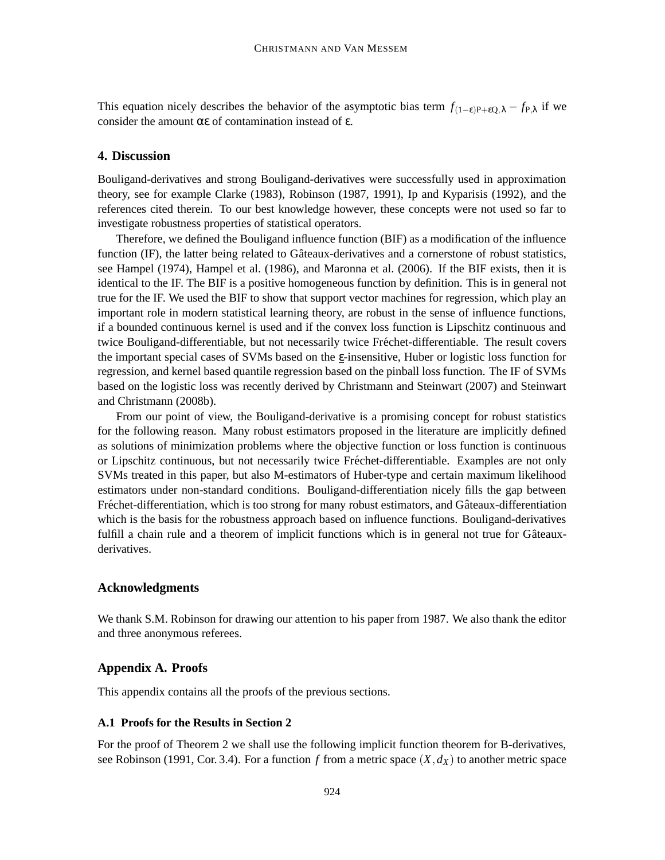This equation nicely describes the behavior of the asymptotic bias term  $f_{(1-\varepsilon)P+\varepsilon Q,\lambda} - f_{P,\lambda}$  if we consider the amount αε of contamination instead of ε.

# **4. Discussion**

Bouligand-derivatives and strong Bouligand-derivatives were successfully used in approximation theory, see for example Clarke (1983), Robinson (1987, 1991), Ip and Kyparisis (1992), and the references cited therein. To our best knowledge however, these concepts were not used so far to investigate robustness properties of statistical operators.

Therefore, we defined the Bouligand influence function (BIF) as a modification of the influence function (IF), the latter being related to Gâteaux-derivatives and a cornerstone of robust statistics, see Hampel (1974), Hampel et al. (1986), and Maronna et al. (2006). If the BIF exists, then it is identical to the IF. The BIF is a positive homogeneous function by definition. This is in general not true for the IF. We used the BIF to show that support vector machines for regression, which play an important role in modern statistical learning theory, are robust in the sense of influence functions, if a bounded continuous kernel is used and if the convex loss function is Lipschitz continuous and twice Bouligand-differentiable, but not necessarily twice Fréchet-differentiable. The result covers the important special cases of SVMs based on the  $\epsilon$ -insensitive, Huber or logistic loss function for regression, and kernel based quantile regression based on the pinball loss function. The IF of SVMs based on the logistic loss was recently derived by Christmann and Steinwart (2007) and Steinwart and Christmann (2008b).

From our point of view, the Bouligand-derivative is a promising concept for robust statistics for the following reason. Many robust estimators proposed in the literature are implicitly defined as solutions of minimization problems where the objective function or loss function is continuous or Lipschitz continuous, but not necessarily twice Fréchet-differentiable. Examples are not only SVMs treated in this paper, but also M-estimators of Huber-type and certain maximum likelihood estimators under non-standard conditions. Bouligand-differentiation nicely fills the gap between Fréchet-differentiation, which is too strong for many robust estimators, and Gâteaux-differentiation which is the basis for the robustness approach based on influence functions. Bouligand-derivatives fulfill a chain rule and a theorem of implicit functions which is in general not true for Gâteauxderivatives.

#### **Acknowledgments**

We thank S.M. Robinson for drawing our attention to his paper from 1987. We also thank the editor and three anonymous referees.

### **Appendix A. Proofs**

This appendix contains all the proofs of the previous sections.

# **A.1 Proofs for the Results in Section 2**

For the proof of Theorem 2 we shall use the following implicit function theorem for B-derivatives, see Robinson (1991, Cor. 3.4). For a function *f* from a metric space  $(X, d_X)$  to another metric space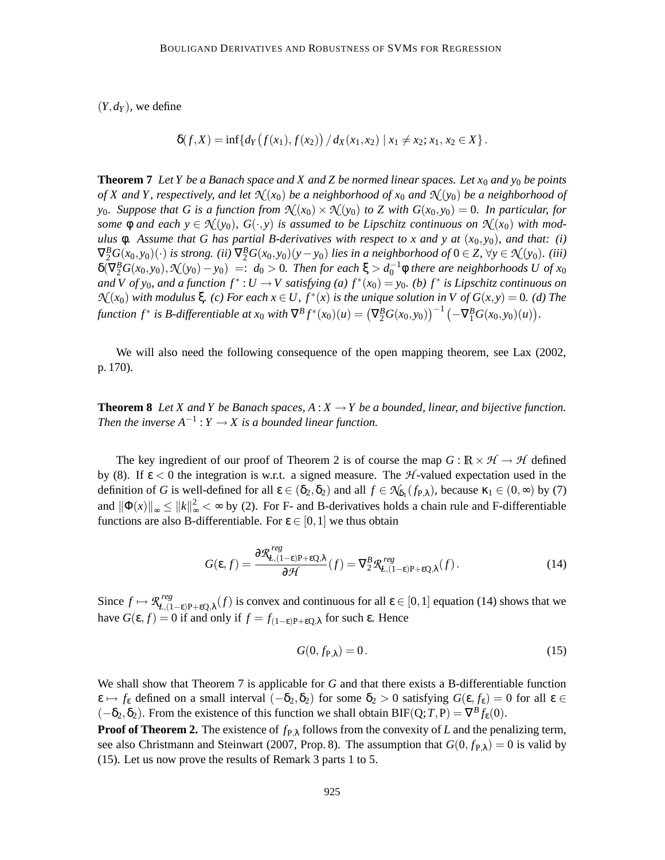$(Y, d_Y)$ , we define

$$
\delta(f, X) = \inf \{ d_Y(f(x_1), f(x_2)) / d_X(x_1, x_2) | x_1 \neq x_2; x_1, x_2 \in X \}.
$$

**Theorem 7** Let Y be a Banach space and X and Z be normed linear spaces. Let  $x_0$  and  $y_0$  be points of X and Y, respectively, and let  $\mathcal{N}(x_0)$  be a neighborhood of  $x_0$  and  $\mathcal{N}(y_0)$  be a neighborhood of  $y_0$ . Suppose that G is a function from  $\mathcal{N}(x_0) \times \mathcal{N}(y_0)$  to Z with  $G(x_0, y_0) = 0$ . In particular, for some  $\phi$  and each  $y \in \mathcal{N}(y_0)$ ,  $G(\cdot, y)$  is assumed to be Lipschitz continuous on  $\mathcal{N}(x_0)$  with modulus  $\phi$ . Assume that G has partial B-derivatives with respect to x and y at  $(x_0, y_0)$ , and that: (i)  $\nabla_2^B G(x_0, y_0)(\cdot)$  is strong. (ii)  $\nabla_2^B G(x_0, y_0)(y - y_0)$  lies in a neighborhood of  $0 \in Z$ ,  $\forall y \in \mathcal{N}(y_0)$ . (iii)  $\delta(\nabla_2^B G(x_0, y_0), \mathcal{N}(y_0) - y_0) =: d_0 > 0$ . Then for each  $\xi > d_0^{-1} \phi$  there are neighborhoods U of  $x_0$ and V of  $y_0$ , and a function  $f^*: U \to V$  satisfying (a)  $f^*(x_0) = y_0$ . (b)  $f^*$  is Lipschitz continuous on  $\mathcal{N}(x_0)$  with modulus  $\xi$ . (c) For each  $x \in U$ ,  $f^*(x)$  is the unique solution in V of  $G(x, y) = 0$ . (d) The function  $f^*$  is B-differentiable at  $x_0$  with  $\nabla^B f^*(x_0)(u) = (\nabla_2^B G(x_0,y_0))^{-1} (-\nabla_1^B G(x_0,y_0)(u)).$ 

We will also need the following consequence of the open mapping theorem, see Lax (2002, p. 170).

**Theorem 8** Let X and Y be Banach spaces,  $A: X \to Y$  be a bounded, linear, and bijective function. *Then the inverse*  $A^{-1}: Y \to X$  *is a bounded linear function.* 

The key ingredient of our proof of Theorem 2 is of course the map  $G : \mathbb{R} \times \mathcal{H} \to \mathcal{H}$  defined by (8). If ε < 0 the integration is w.r.t. a signed measure. The *H* -valued expectation used in the definition of *G* is well-defined for all  $\varepsilon \in (\delta_2, \delta_2)$  and all  $f \in \mathcal{K}_{\delta_1}(f_{P,\lambda})$ , because  $\kappa_1 \in (0, \infty)$  by (7) and  $\|\Phi(x)\|_{\infty} \le ||k||_{\infty}^2 < \infty$  by (2). For F- and B-derivatives holds a chain rule and F-differentiable functions are also B-differentiable. For  $\varepsilon \in [0,1]$  we thus obtain

$$
G(\varepsilon, f) = \frac{\partial \mathcal{R}^{reg}_{L,(1-\varepsilon)P+\varepsilon Q,\lambda}}{\partial \mathcal{H}}(f) = \nabla_2^B \mathcal{R}^{reg}_{L,(1-\varepsilon)P+\varepsilon Q,\lambda}(f). \tag{14}
$$

Since  $f \mapsto \mathcal{R}^{reg}_{I(1)}$ *Peg*  $L(1-\varepsilon)P+\varepsilon Q$ ,λ(*f*) is convex and continuous for all  $\varepsilon$  ∈ [0, 1] equation (14) shows that we have *G*(ε, *f*) = 0 if and only if  $f = f_{(1-\varepsilon)P+\varepsilon Q}$ , for such ε. Hence

$$
G(0, f_{\mathbf{P}, \lambda}) = 0. \tag{15}
$$

We shall show that Theorem 7 is applicable for *G* and that there exists a B-differentiable function  $\varepsilon \mapsto f_{\varepsilon}$  defined on a small interval  $(-\delta_2, \delta_2)$  for some  $\delta_2 > 0$  satisfying  $G(\varepsilon, f_{\varepsilon}) = 0$  for all  $\varepsilon \in$  $(-\delta_2, \delta_2)$ . From the existence of this function we shall obtain BIF(Q; *T*, P) =  $\nabla^B f_{\epsilon}(0)$ .

**Proof of Theorem 2.** The existence of  $f_{P,\lambda}$  follows from the convexity of *L* and the penalizing term, see also Christmann and Steinwart (2007, Prop. 8). The assumption that  $G(0, f_{\text{PA}}) = 0$  is valid by (15). Let us now prove the results of Remark 3 parts 1 to 5.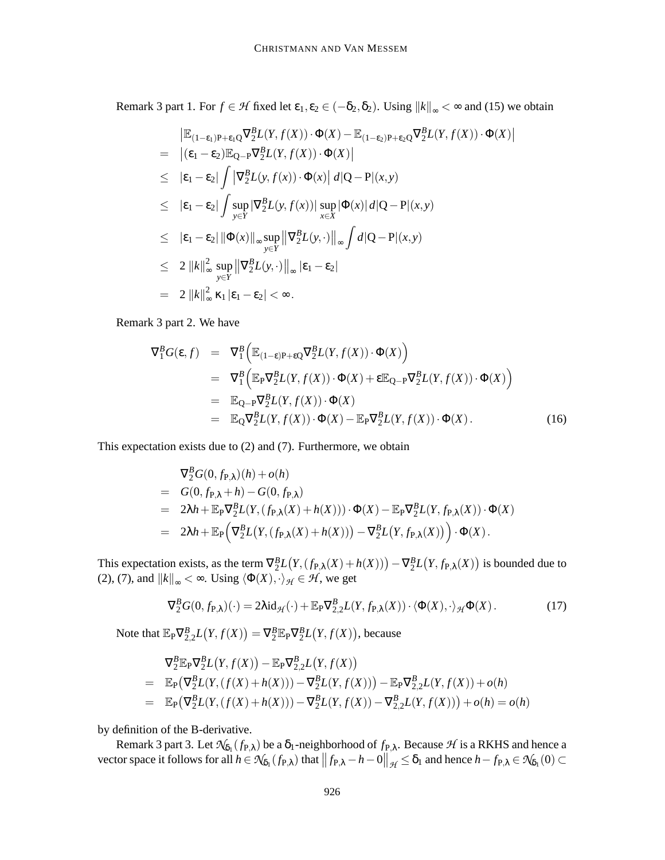Remark 3 part 1. For  $f \in \mathcal{H}$  fixed let  $\varepsilon_1, \varepsilon_2 \in (-\delta_2, \delta_2)$ . Using  $||k||_{\infty} < \infty$  and (15) we obtain

$$
\begin{aligned}\n&= \|\mathbb{E}_{(1-\epsilon_1)P+\epsilon_1Q}\nabla_2^B L(Y,f(X)) \cdot \Phi(X) - \mathbb{E}_{(1-\epsilon_2)P+\epsilon_2Q}\nabla_2^B L(Y,f(X)) \cdot \Phi(X) | \\
&= \|( \epsilon_1 - \epsilon_2) \mathbb{E}_{Q-P}\nabla_2^B L(Y,f(X)) \cdot \Phi(X) | \\
&\leq |\epsilon_1 - \epsilon_2| \int |\nabla_2^B L(y,f(x)) \cdot \Phi(x) | d|Q - P|(x,y) \\
&\leq |\epsilon_1 - \epsilon_2| \int \sup_{y \in Y} |\nabla_2^B L(y,f(x))| \sup_{x \in X} |\Phi(x)| d|Q - P|(x,y) \\
&\leq |\epsilon_1 - \epsilon_2| \|\Phi(x)\|_{\infty} \sup_{y \in Y} \|\nabla_2^B L(y, \cdot)\|_{\infty} \int d|Q - P|(x,y) \\
&\leq 2 \|\mathbf{k}\|_{\infty}^2 \sup_{y \in Y} \|\nabla_2^B L(y, \cdot)\|_{\infty} |\epsilon_1 - \epsilon_2| \\
&= 2 \|\mathbf{k}\|_{\infty}^2 \kappa_1 |\epsilon_1 - \epsilon_2| < \infty.\n\end{aligned}
$$

Remark 3 part 2. We have

$$
\nabla_1^B G(\varepsilon, f) = \nabla_1^B \Big( \mathbb{E}_{(1-\varepsilon)P + \varepsilon Q} \nabla_2^B L(Y, f(X)) \cdot \Phi(X) \Big) \n= \nabla_1^B \Big( \mathbb{E}_P \nabla_2^B L(Y, f(X)) \cdot \Phi(X) + \varepsilon \mathbb{E}_{Q-P} \nabla_2^B L(Y, f(X)) \cdot \Phi(X) \Big) \n= \mathbb{E}_{Q-P} \nabla_2^B L(Y, f(X)) \cdot \Phi(X) \n= \mathbb{E}_Q \nabla_2^B L(Y, f(X)) \cdot \Phi(X) - \mathbb{E}_P \nabla_2^B L(Y, f(X)) \cdot \Phi(X).
$$
\n(16)

This expectation exists due to (2) and (7). Furthermore, we obtain

$$
\nabla_2^B G(0, f_{P,\lambda})(h) + o(h)
$$
  
=  $G(0, f_{P,\lambda} + h) - G(0, f_{P,\lambda})$   
=  $2\lambda h + \mathbb{E}_P \nabla_2^B L(Y, (f_{P,\lambda}(X) + h(X))) \cdot \Phi(X) - \mathbb{E}_P \nabla_2^B L(Y, f_{P,\lambda}(X)) \cdot \Phi(X)$   
=  $2\lambda h + \mathbb{E}_P \left( \nabla_2^B L(Y, (f_{P,\lambda}(X) + h(X))) - \nabla_2^B L(Y, f_{P,\lambda}(X)) \right) \cdot \Phi(X).$ 

This expectation exists, as the term  $\nabla_2^B L(Y,(f_{P,\lambda}(X) + h(X))) - \nabla_2^B L(Y,f_{P,\lambda}(X))$  is bounded due to (2), (7), and  $||k||_{\infty} < \infty$ . Using  $\langle \Phi(X), \cdot \rangle_{\mathcal{H}} \in \mathcal{H}$ , we get

$$
\nabla_2^B G(0, f_{\mathbf{P}, \lambda})(\cdot) = 2\lambda \mathrm{id}_{\mathcal{H}}(\cdot) + \mathbb{E}_{\mathbf{P}} \nabla_{2,2}^B L(Y, f_{\mathbf{P}, \lambda}(X)) \cdot \langle \Phi(X), \cdot \rangle_{\mathcal{H}} \Phi(X). \tag{17}
$$

Note that  $\mathbb{E}_{P} \nabla_{2,2}^{B} L(Y, f(X)) = \nabla_{2}^{B} \mathbb{E}_{P} \nabla_{2}^{B} L(Y, f(X)),$  because

$$
\nabla_2^B \mathbb{E}_{P} \nabla_2^B L(Y, f(X)) - \mathbb{E}_{P} \nabla_{2,2}^B L(Y, f(X))
$$
  
= 
$$
\mathbb{E}_{P} (\nabla_2^B L(Y, (f(X) + h(X))) - \nabla_2^B L(Y, f(X))) - \mathbb{E}_{P} \nabla_{2,2}^B L(Y, f(X)) + o(h)
$$
  
= 
$$
\mathbb{E}_{P} (\nabla_2^B L(Y, (f(X) + h(X))) - \nabla_2^B L(Y, f(X)) - \nabla_{2,2}^B L(Y, f(X))) + o(h) = o(h)
$$

by definition of the B-derivative.

Remark 3 part 3. Let  $\mathcal{N}_{\delta_1}(f_{P,\lambda})$  be a  $\delta_1$ -neighborhood of  $f_{P,\lambda}$ . Because  $\mathcal H$  is a RKHS and hence a vector space it follows for all  $h \in \mathcal{N}_{\delta_1}(f_{P,\lambda})$  that  $||f_{P,\lambda} - h - 0||_{\mathcal{H}} \leq \delta_1$  and hence  $h - f_{P,\lambda} \in \mathcal{N}_{\delta_1}(0) \subset$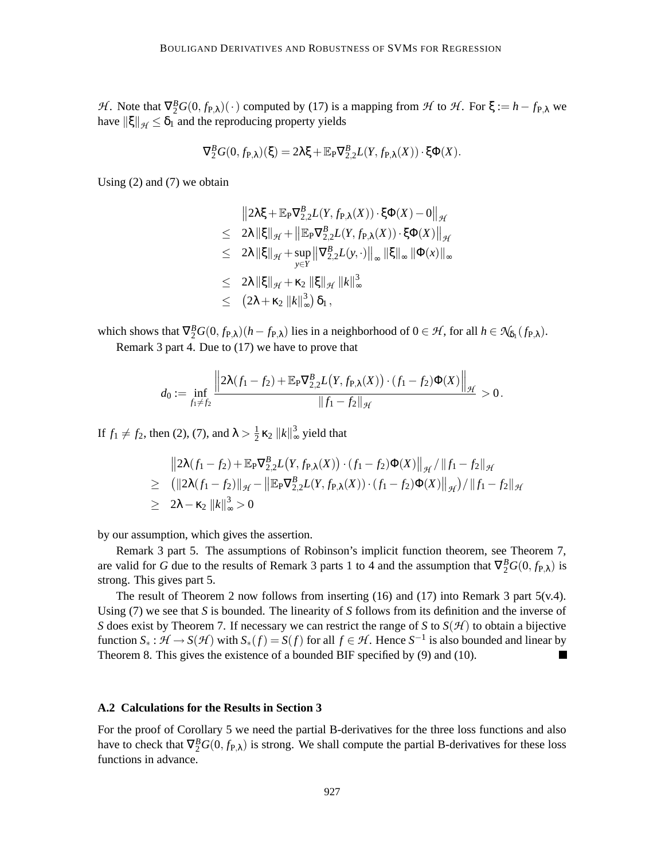*H*. Note that  $\nabla_2^B G(0, f_{P,\lambda})(\cdot)$  computed by (17) is a mapping from *H* to *H*. For  $\xi := h - f_{P,\lambda}$  we have  $\|\xi\|_{\mathcal{H}} \leq \delta_1$  and the reproducing property yields

$$
\nabla_2^{\mathcal{B}}G(0,f_{\mathcal{P},\lambda})(\xi)=2\lambda\xi+\mathbb{E}_{\mathcal{P}}\nabla_{2,2}^{\mathcal{B}}L(Y,f_{\mathcal{P},\lambda}(X))\cdot\xi\Phi(X).
$$

Using (2) and (7) we obtain

$$
\|2\lambda\xi + \mathbb{E}_{P}\nabla_{2,2}^{B}L(Y, f_{P,\lambda}(X)) \cdot \xi\Phi(X) - 0\|_{\mathcal{H}}
$$
  
\n
$$
\leq 2\lambda \|\xi\|_{\mathcal{H}} + \left\|\mathbb{E}_{P}\nabla_{2,2}^{B}L(Y, f_{P,\lambda}(X)) \cdot \xi\Phi(X)\right\|_{\mathcal{H}}
$$
  
\n
$$
\leq 2\lambda \|\xi\|_{\mathcal{H}} + \sup_{y \in Y} \left\|\nabla_{2,2}^{B}L(y, \cdot)\right\|_{\infty} \|\xi\|_{\infty} \|\Phi(x)\|_{\infty}
$$
  
\n
$$
\leq 2\lambda \|\xi\|_{\mathcal{H}} + \kappa_{2} \|\xi\|_{\mathcal{H}} \|k\|_{\infty}^{3}
$$
  
\n
$$
\leq (2\lambda + \kappa_{2} \|k\|_{\infty}^{3}) \delta_{1},
$$

which shows that  $\nabla_2^B G(0, f_{\mathbf{P}, \lambda})(h - f_{\mathbf{P}, \lambda})$  lies in a neighborhood of  $0 \in \mathcal{H}$ , for all  $h \in \mathcal{N}_{\delta_1}(f_{\mathbf{P}, \lambda})$ . Remark 3 part 4. Due to (17) we have to prove that

$$
d_0 := \inf_{f_1 \neq f_2} \frac{\left\| 2\lambda(f_1 - f_2) + \mathbb{E}_{P} \nabla_{2,2}^B L(Y, f_{P,\lambda}(X)) \cdot (f_1 - f_2) \Phi(X) \right\|_{\mathcal{H}}}{\|f_1 - f_2\|_{\mathcal{H}}} > 0.
$$

If  $f_1 \neq f_2$ , then (2), (7), and  $\lambda > \frac{1}{2}$  $\frac{1}{2}$  **k**<sub>2</sub>  $||k||^3$  $\frac{3}{2}$  yield that

$$
\|2\lambda(f_1 - f_2) + \mathbb{E}_{P}\nabla_{2,2}^{B}L(Y, f_{P,\lambda}(X)) \cdot (f_1 - f_2)\Phi(X)\|_{\mathcal{H}} / \|f_1 - f_2\|_{\mathcal{H}}
$$
  
\n
$$
\geq ( \|2\lambda(f_1 - f_2)\|_{\mathcal{H}} - \|\mathbb{E}_{P}\nabla_{2,2}^{B}L(Y, f_{P,\lambda}(X)) \cdot (f_1 - f_2)\Phi(X)\|_{\mathcal{H}}) / \|f_1 - f_2\|_{\mathcal{H}}
$$
  
\n
$$
\geq 2\lambda - \kappa_2 \|k\|_{\infty}^3 > 0
$$

by our assumption, which gives the assertion.

Remark 3 part 5. The assumptions of Robinson's implicit function theorem, see Theorem 7, are valid for *G* due to the results of Remark 3 parts 1 to 4 and the assumption that  $\nabla_2^B G(0, f_{\rm P,\lambda})$  is strong. This gives part 5.

The result of Theorem 2 now follows from inserting (16) and (17) into Remark 3 part 5(v.4). Using (7) we see that *S* is bounded. The linearity of *S* follows from its definition and the inverse of *S* does exist by Theorem 7. If necessary we can restrict the range of *S* to  $S(\mathcal{H})$  to obtain a bijective function  $S_* : \mathcal{H} \to S(\mathcal{H})$  with  $S_*(f) = S(f)$  for all  $f \in \mathcal{H}$ . Hence  $S^{-1}$  is also bounded and linear by Theorem 8. This gives the existence of a bounded BIF specified by (9) and (10). П

#### **A.2 Calculations for the Results in Section 3**

For the proof of Corollary 5 we need the partial B-derivatives for the three loss functions and also have to check that  $\nabla_2^B G(0, f_{P,\lambda})$  is strong. We shall compute the partial B-derivatives for these loss functions in advance.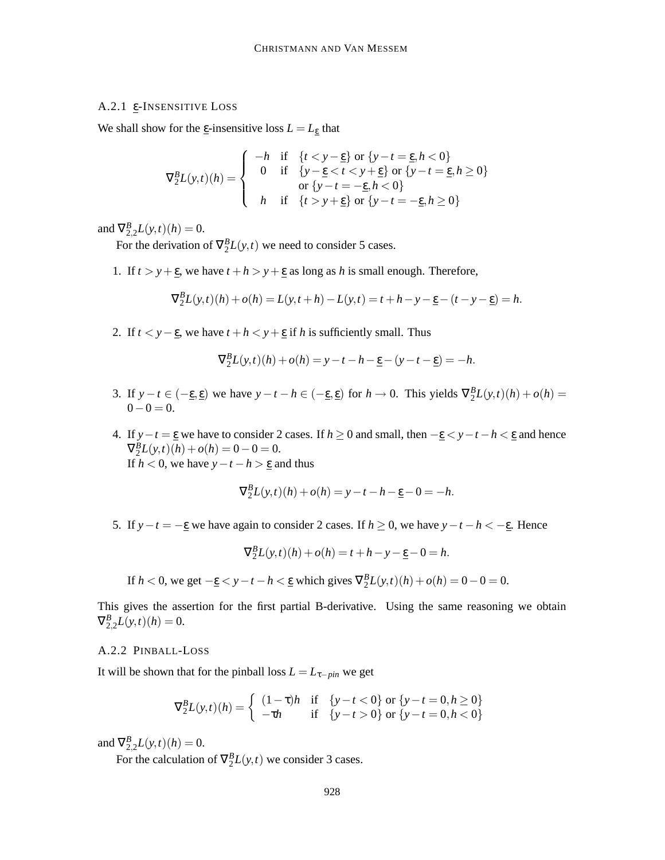# A.2.1 ε-INSENSITIVE LOSS

We shall show for the  $\underline{\varepsilon}$ -insensitive loss  $L = L_{\underline{\varepsilon}}$  that

$$
\nabla_2^B L(y,t)(h) = \begin{cases}\n-h & \text{if } \{t < y - \underline{\epsilon}\} \text{ or } \{y - t = \underline{\epsilon}, h < 0\} \\
0 & \text{if } \{y - \underline{\epsilon} < t < y + \underline{\epsilon}\} \text{ or } \{y - t = \underline{\epsilon}, h \ge 0\} \\
\text{or } \{y - t = -\underline{\epsilon}, h < 0\} \\
h & \text{if } \{t > y + \underline{\epsilon}\} \text{ or } \{y - t = -\underline{\epsilon}, h \ge 0\}\n\end{cases}
$$

and  $\nabla_{2,2}^{B}L(y,t)(h) = 0.$ 

For the derivation of  $\nabla_2^B L(y,t)$  we need to consider 5 cases.

1. If  $t > y + \underline{\epsilon}$ , we have  $t + h > y + \underline{\epsilon}$  as long as *h* is small enough. Therefore,

$$
\nabla_2^B L(y,t)(h) + o(h) = L(y,t+h) - L(y,t) = t + h - y - \underline{\epsilon} - (t - y - \underline{\epsilon}) = h.
$$

2. If  $t < y - \underline{\epsilon}$ , we have  $t + h < y + \underline{\epsilon}$  if *h* is sufficiently small. Thus

$$
\nabla_2^B L(y,t)(h) + o(h) = y - t - h - \underline{\varepsilon} - (y - t - \underline{\varepsilon}) = -h.
$$

- 3. If  $y t \in (-\underline{\epsilon}, \underline{\epsilon})$  we have  $y t h \in (-\underline{\epsilon}, \underline{\epsilon})$  for  $h \to 0$ . This yields  $\nabla_2^B L(y, t)(h) + o(h) =$  $0-0=0.$
- 4. If  $y-t = \underline{\epsilon}$  we have to consider 2 cases. If  $h \ge 0$  and small, then  $-\underline{\epsilon} < y-t-h < \underline{\epsilon}$  and hence  $\nabla_2^B L(y,t)(h) + o(h) = 0 - 0 = 0.$ If  $h < 0$ , we have  $y - t - h > \varepsilon$  and thus

$$
\nabla_2^B L(y,t)(h) + o(h) = y - t - h - \underline{\varepsilon} - 0 = -h.
$$

5. If  $y - t = -\underline{\epsilon}$  we have again to consider 2 cases. If  $h \ge 0$ , we have  $y - t - h < -\underline{\epsilon}$ . Hence

$$
\nabla_2^B L(y, t)(h) + o(h) = t + h - y - \underline{\varepsilon} - 0 = h.
$$

If  $h < 0$ , we get  $-\underline{\varepsilon} < y - t - h < \underline{\varepsilon}$  which gives  $\nabla_2^B L(y,t)(h) + o(h) = 0 - 0 = 0$ .

This gives the assertion for the first partial B-derivative. Using the same reasoning we obtain  $\nabla_{2,2}^{B}L(y,t)(h) = 0.$ 

#### A.2.2 PINBALL-LOSS

It will be shown that for the pinball loss  $L = L_{\tau - pin}$  we get

$$
\nabla_2^B L(y, t)(h) = \begin{cases} (1 - \tau)h & \text{if } \{y - t < 0\} \text{ or } \{y - t = 0, h \ge 0\} \\ -\tau h & \text{if } \{y - t > 0\} \text{ or } \{y - t = 0, h < 0\} \end{cases}
$$

and  $\nabla_{2,2}^{B}L(y,t)(h) = 0.$ 

For the calculation of  $\nabla_2^B L(y,t)$  we consider 3 cases.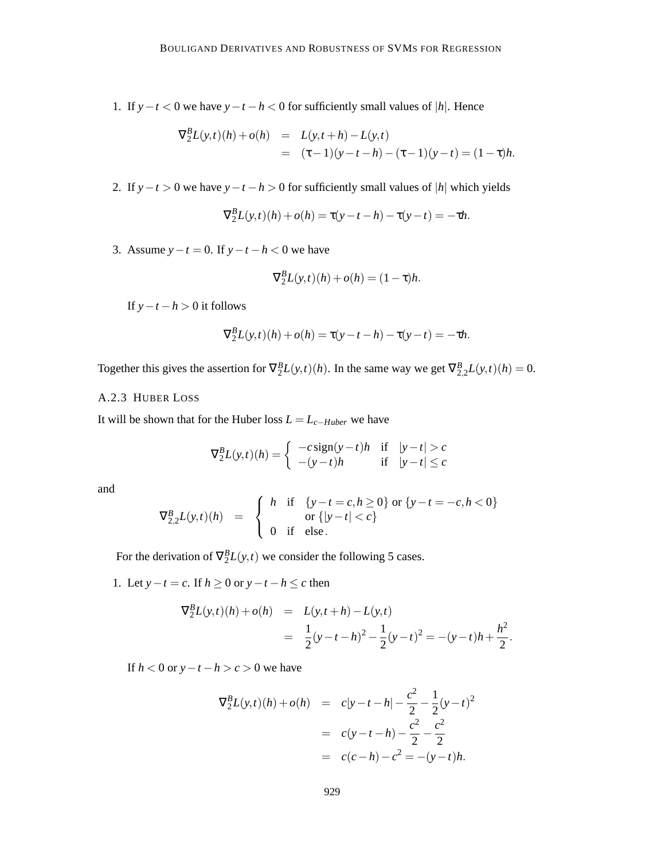1. If *y*−*t* < 0 we have *y*−*t* −*h* < 0 for sufficiently small values of |*h*|. Hence

$$
\nabla_2^B L(y,t)(h) + o(h) = L(y,t+h) - L(y,t)
$$
  
=  $(\tau - 1)(y - t - h) - (\tau - 1)(y - t) = (1 - \tau)h.$ 

2. If  $y-t > 0$  we have  $y-t-h > 0$  for sufficiently small values of |*h*| which yields

$$
\nabla_2^B L(y,t)(h) + o(h) = \tau(y - t - h) - \tau(y - t) = -\tau h.
$$

3. Assume  $y - t = 0$ . If  $y - t - h < 0$  we have

*B*

$$
\nabla_2^B L(y,t)(h) + o(h) = (1 - \tau)h.
$$

If  $y - t - h > 0$  it follows

$$
\nabla_2^B L(y,t)(h) + o(h) = \tau(y - t - h) - \tau(y - t) = -\tau h.
$$

Together this gives the assertion for  $\nabla_2^B L(y,t)(h)$ . In the same way we get  $\nabla_{2,2}^B L(y,t)(h) = 0$ .

# A.2.3 HUBER LOSS

It will be shown that for the Huber loss  $L = L_{c-Huber}$  we have

$$
\nabla_2^B L(y,t)(h) = \begin{cases}\n-c \operatorname{sign}(y-t)h & \text{if } |y-t| > c \\
-(y-t)h & \text{if } |y-t| \le c\n\end{cases}
$$

and

$$
\nabla_{2,2}^{B} L(y,t)(h) = \begin{cases} h & \text{if } \{y-t=c, h \ge 0\} \text{ or } \{y-t=-c, h < 0\} \\ \text{or } \{|y-t| < c\} \\ 0 & \text{if } \text{else.} \end{cases}
$$

For the derivation of  $\nabla_2^B L(y,t)$  we consider the following 5 cases.

1. Let  $y-t = c$ . If  $h \ge 0$  or  $y-t-h \le c$  then

$$
\nabla_2^B L(y,t)(h) + o(h) = L(y,t+h) - L(y,t)
$$
  
=  $\frac{1}{2}(y-t-h)^2 - \frac{1}{2}(y-t)^2 = -(y-t)h + \frac{h^2}{2}.$ 

If  $h < 0$  or  $y - t - h > c > 0$  we have

$$
\nabla_2^B L(y, t)(h) + o(h) = c|y - t - h| - \frac{c^2}{2} - \frac{1}{2}(y - t)^2
$$
  
=  $c(y - t - h) - \frac{c^2}{2} - \frac{c^2}{2}$   
=  $c(c - h) - c^2 = -(y - t)h$ .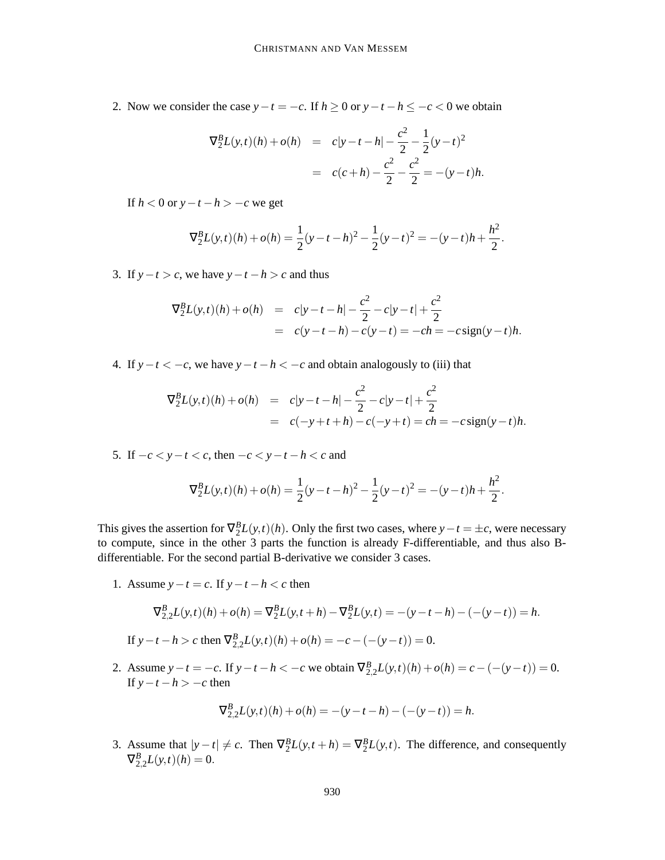2. Now we consider the case  $y-t = -c$ . If  $h \ge 0$  or  $y-t-h \le -c < 0$  we obtain

$$
\nabla_2^B L(y, t)(h) + o(h) = c|y - t - h| - \frac{c^2}{2} - \frac{1}{2}(y - t)^2
$$
  
= c(c + h) - \frac{c^2}{2} - \frac{c^2}{2} = -(y - t)h.

If  $h < 0$  or  $y - t - h > -c$  we get

$$
\nabla_2^B L(y,t)(h) + o(h) = \frac{1}{2}(y-t-h)^2 - \frac{1}{2}(y-t)^2 = -(y-t)h + \frac{h^2}{2}.
$$

3. If  $y-t > c$ , we have  $y-t-h > c$  and thus

$$
\nabla_2^B L(y,t)(h) + o(h) = c|y - t - h| - \frac{c^2}{2} - c|y - t| + \frac{c^2}{2}
$$
  
= c(y - t - h) - c(y - t) = -ch = -c sign(y - t)h.

4. If  $y-t < -c$ , we have  $y-t-h < -c$  and obtain analogously to (iii) that

$$
\nabla_2^B L(y, t)(h) + o(h) = c|y - t - h| - \frac{c^2}{2} - c|y - t| + \frac{c^2}{2}
$$
  
= c(-y + t + h) - c(-y + t) = ch = -c sign(y - t)h.

5. If  $-c < y-t < c$ , then  $-c < y-t-h < c$  and

$$
\nabla_2^B L(y,t)(h) + o(h) = \frac{1}{2}(y-t-h)^2 - \frac{1}{2}(y-t)^2 = -(y-t)h + \frac{h^2}{2}.
$$

This gives the assertion for  $\nabla_2^B L(y,t)(h)$ . Only the first two cases, where  $y-t = \pm c$ , were necessary to compute, since in the other 3 parts the function is already F-differentiable, and thus also Bdifferentiable. For the second partial B-derivative we consider 3 cases.

1. Assume  $y - t = c$ . If  $y - t - h < c$  then

$$
\nabla_{2,2}^{B}L(y,t)(h) + o(h) = \nabla_{2}^{B}L(y,t+h) - \nabla_{2}^{B}L(y,t) = -(y-t-h) - (-(y-t)) = h.
$$

If 
$$
y - t - h > c
$$
 then  $\nabla_{2,2}^{B}L(y,t)(h) + o(h) = -c - (- (y - t)) = 0$ .

2. Assume  $y - t = -c$ . If  $y - t - h < -c$  we obtain  $\nabla_{2,2}^{B} L(y,t)(h) + o(h) = c - (- (y - t)) = 0$ . If  $y - t - h > -c$  then

$$
\nabla_{2,2}^{B}L(y,t)(h) + o(h) = -(y - t - h) - (-(y - t)) = h.
$$

3. Assume that  $|y - t| \neq c$ . Then  $\nabla_2^B L(y, t + h) = \nabla_2^B L(y, t)$ . The difference, and consequently  $\nabla_{2,2}^B L(y,t)(h) = 0.$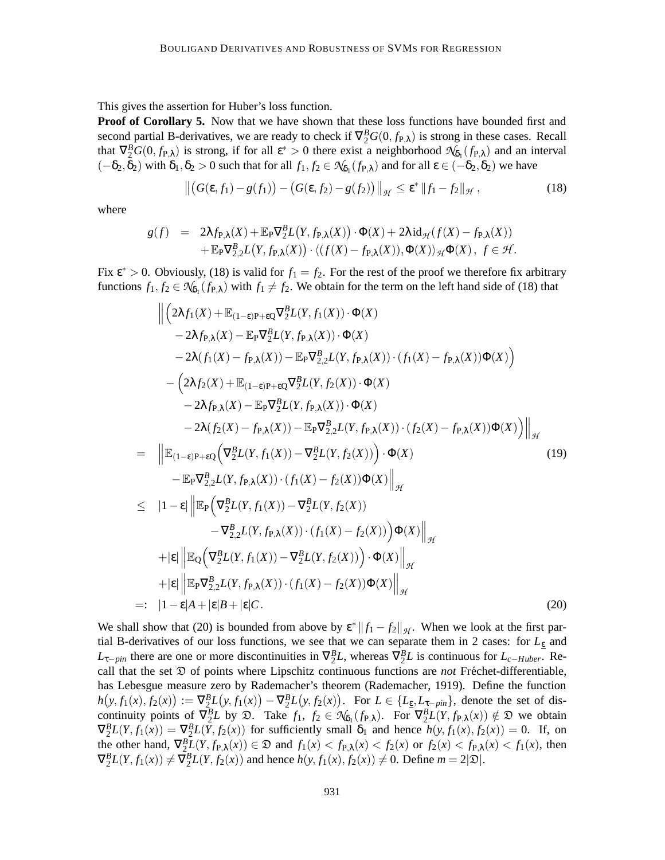This gives the assertion for Huber's loss function.

**Proof of Corollary 5.** Now that we have shown that these loss functions have bounded first and second partial B-derivatives, we are ready to check if  $\nabla_2^B G(0, f_{P,\lambda})$  is strong in these cases. Recall that  $\nabla_2^B G(0, f_{\text{P},\lambda})$  is strong, if for all  $\varepsilon^* > 0$  there exist a neighborhood  $\mathcal{N}_{\delta_1}(f_{\text{P},\lambda})$  and an interval  $(-\delta_2, \delta_2)$  with  $\delta_1, \delta_2 > 0$  such that for all  $f_1, f_2 \in \mathcal{N}_{\delta_1}(f_{\mathbb{P}, \lambda})$  and for all  $\varepsilon \in (-\delta_2, \delta_2)$  we have

$$
\left\| \left( G(\varepsilon, f_1) - g(f_1) \right) - \left( G(\varepsilon, f_2) - g(f_2) \right) \right\|_{\mathcal{H}} \leq \varepsilon^* \left\| f_1 - f_2 \right\|_{\mathcal{H}},\tag{18}
$$

where

$$
\begin{array}{lll}g(f) & = & 2\lambda f_{P,\lambda}(X) + \mathbb{E}_{P}\nabla_{2}^{B}L\big(Y,f_{P,\lambda}(X)\big)\cdot\Phi(X) + 2\lambda\,\mathrm{id}_{\mathcal{H}}(f(X) - f_{P,\lambda}(X))\\ & & + \mathbb{E}_{P}\nabla_{2,2}^{B}L\big(Y,f_{P,\lambda}(X)\big)\cdot\langle (f(X) - f_{P,\lambda}(X)),\Phi(X)\rangle_{\mathcal{H}}\Phi(X)\,,\;f\in\mathcal{H}.\end{array}
$$

Fix  $\epsilon^* > 0$ . Obviously, (18) is valid for  $f_1 = f_2$ . For the rest of the proof we therefore fix arbitrary functions  $f_1, f_2 \in \mathcal{N}_{\delta_1}(f_{P,\lambda})$  with  $f_1 \neq f_2$ . We obtain for the term on the left hand side of (18) that

$$
\begin{split}\n&\left\|\left(2\lambda f_{1}(X)+\mathbb{E}_{(1-\epsilon)P+\epsilon Q}\nabla_{2}^{B}L(Y,f_{1}(X))\cdot\Phi(X)\right.\right.\\
&\left.-2\lambda f_{P,\lambda}(X)-\mathbb{E}_{P}\nabla_{2}^{B}L(Y,f_{P,\lambda}(X))\cdot\Phi(X) \\
&-2\lambda(f_{1}(X)-f_{P,\lambda}(X))-\mathbb{E}_{P}\nabla_{2,2}^{B}L(Y,f_{P,\lambda}(X))\cdot(f_{1}(X)-f_{P,\lambda}(X))\Phi(X)\right) \\
&-\left(2\lambda f_{2}(X)+\mathbb{E}_{(1-\epsilon)P+\epsilon Q}\nabla_{2}^{B}L(Y,f_{2}(X))\cdot\Phi(X)\right.\\
&\left.-2\lambda f_{P,\lambda}(X)-\mathbb{E}_{P}\nabla_{2}^{B}L(Y,f_{P,\lambda}(X))\cdot\Phi(X)\right.\\
&\left.-2\lambda(f_{2}(X)-f_{P,\lambda}(X))-\mathbb{E}_{P}\nabla_{2,2}^{B}L(Y,f_{P,\lambda}(X))\cdot(f_{2}(X)-f_{P,\lambda}(X))\Phi(X)\right)\right\|_{\mathcal{H}} \\
&=\left\|\mathbb{E}_{(1-\epsilon)P+\epsilon Q}\left(\nabla_{2}^{B}L(Y,f_{1}(X))-\nabla_{2}^{B}L(Y,f_{2}(X))\right)\cdot\Phi(X)\right.\\
&\left.-\mathbb{E}_{P}\nabla_{2,2}^{B}L(Y,f_{P,\lambda}(X))\cdot(f_{1}(X)-f_{2}(X))\Phi(X)\right\|_{\mathcal{H}} \\
&\leq |1-\epsilon|\left\|\mathbb{E}_{P}\left(\nabla_{2}^{B}L(Y,f_{1}(X))-\nabla_{2}^{B}L(Y,f_{2}(X))\right.\\&\left.-\nabla_{2,2}^{B}L(Y,f_{P,\lambda}(X))\cdot(f_{1}(X)-f_{2}(X))\right)\Phi(X)\right\|_{\mathcal{H}} \\
&+|\epsilon|\left\|\mathbb{E}_{Q}\left(\nabla_{2}^{B}L(Y,f_{1}(X))-\nabla_{2}^{B}L(Y,f_{2}(X))\right)\cdot\Phi(X)\right\|_{\mathcal{H}} \\
&+|\epsilon|\left\|\mathbb{E}_{P}\nabla_{2,2}^{B}L(Y,f_{P,\lambda}(X))\cdot(f_{1}(X)-f_{2}(X))\Phi(X)\right\|_{\mathcal{H
$$

We shall show that (20) is bounded from above by  $\mathcal{E}^* ||f_1 - f_2||_{\mathcal{H}}$ . When we look at the first partial B-derivatives of our loss functions, we see that we can separate them in 2 cases: for *L*<sup>ε</sup> and  $L_{\tau-pin}$  there are one or more discontinuities in  $\nabla_2^B L$ , whereas  $\nabla_2^B L$  is continuous for  $L_{c-Huber}$ . Recall that the set  $\mathfrak D$  of points where Lipschitz continuous functions are *not* Fréchet-differentiable, has Lebesgue measure zero by Rademacher's theorem (Rademacher, 1919). Define the function  $h(y, f_1(x), f_2(x)) := \nabla_2^B L(y, f_1(x)) - \nabla_2^B L(y, f_2(x))$ . For  $L \in \{L_{\underline{\epsilon}}, L_{\underline{\tau} - p\dot{m}}\}$ , denote the set of discontinuity points of  $\nabla_2^B L$  by  $\mathfrak{D}$ . Take  $f_1, f_2 \in \mathcal{N}_{\delta_1}(f_{P,\lambda})$ . For  $\nabla_2^B L(Y, f_{P,\lambda}(x)) \notin \mathfrak{D}$  we obtain  $\nabla_2^B L(Y, f_1(x)) = \nabla_2^B L(Y, f_2(x))$  for sufficiently small  $\delta_1$  and hence  $h(y, f_1(x), f_2(x)) = 0$ . If, on the other hand,  $\nabla_2^B L(Y, f_{P,\lambda}(x)) \in \mathfrak{D}$  and  $f_1(x) < f_{P,\lambda}(x) < f_2(x)$  or  $f_2(x) < f_{P,\lambda}(x) < f_1(x)$ , then  $\nabla_2^B L(Y, f_1(x)) \neq \nabla_2^B L(Y, f_2(x))$  and hence  $h(y, f_1(x), f_2(x)) \neq 0$ . Define  $m = 2|\mathfrak{D}|$ .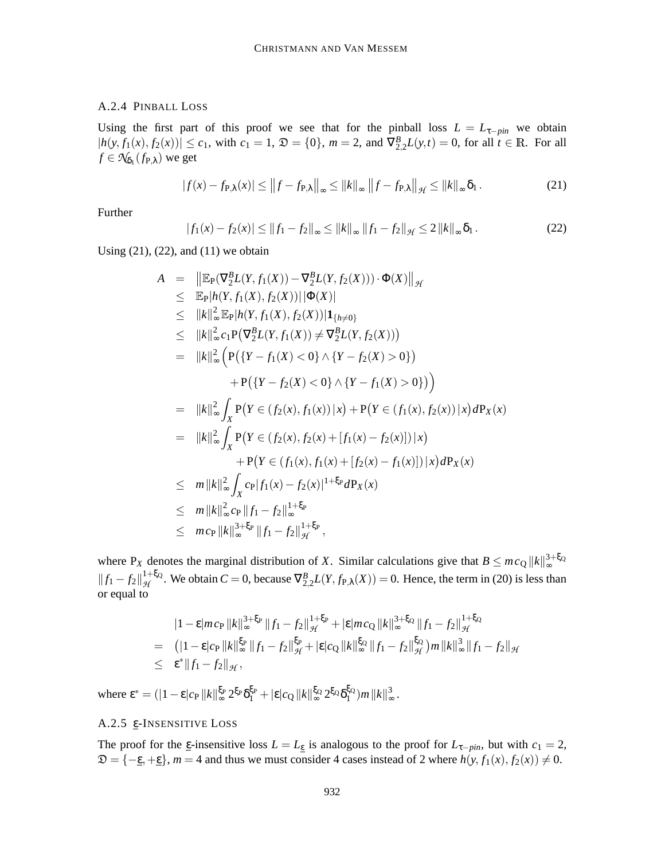# A.2.4 PINBALL LOSS

Using the first part of this proof we see that for the pinball loss  $L = L_{\tau - pin}$  we obtain  $|h(y, f_1(x), f_2(x))| \le c_1$ , with  $c_1 = 1$ ,  $\mathfrak{D} = \{0\}$ ,  $m = 2$ , and  $\nabla_{2,2}^B L(y,t) = 0$ , for all  $t \in \mathbb{R}$ . For all  $f \in \mathcal{N}_{\delta_1}(f_{\mathbf{P},\lambda})$  we get

$$
|f(x) - f_{\mathbf{P},\lambda}(x)| \le ||f - f_{\mathbf{P},\lambda}||_{\infty} \le ||k||_{\infty} ||f - f_{\mathbf{P},\lambda}||_{\mathcal{H}} \le ||k||_{\infty} \delta_1.
$$
 (21)

Further

$$
|f_1(x) - f_2(x)| \le ||f_1 - f_2||_{\infty} \le ||k||_{\infty} ||f_1 - f_2||_{\mathcal{H}} \le 2 ||k||_{\infty} \delta_1.
$$
 (22)

Using  $(21)$ ,  $(22)$ , and  $(11)$  we obtain

$$
A = ||\mathbb{E}_{P}(\nabla_{2}^{B}L(Y, f_{1}(X)) - \nabla_{2}^{B}L(Y, f_{2}(X))) \cdot \Phi(X)||_{\mathcal{H}}\n\leq \mathbb{E}_{P}|h(Y, f_{1}(X), f_{2}(X))||\Phi(X)|\n\leq ||k||_{\infty}^{2} \mathbb{E}_{P}|h(Y, f_{1}(X), f_{2}(X))|1_{\{h \neq 0\}}\n\leq ||k||_{\infty}^{2} c_{1}P(\nabla_{2}^{B}L(Y, f_{1}(X)) \neq \nabla_{2}^{B}L(Y, f_{2}(X)))\n= ||k||_{\infty}^{2} (P({Y - f_{1}(X) < 0} \land {Y - f_{2}(X) > 0})\n+ P({Y - f_{2}(X) < 0} \land {Y - f_{1}(X) > 0})\n= ||k||_{\infty}^{2} \int_{X} P(Y \in (f_{2}(x), f_{1}(x))|x) + P(Y \in (f_{1}(x), f_{2}(x))|x) dP_{X}(x)\n= ||k||_{\infty}^{2} \int_{X} P(Y \in (f_{2}(x), f_{2}(x) + [f_{1}(x) - f_{2}(x)])|x)\n+ P(Y \in (f_{1}(x), f_{1}(x) + [f_{2}(x) - f_{1}(x)])|x] dP_{X}(x)\n\leq m ||k||_{\infty}^{2} \int_{X} c_{P} |f_{1}(x) - f_{2}(x)|^{1+\xi_{P}} dP_{X}(x)\n\leq m ||k||_{\infty}^{2} c_{P} ||f_{1} - f_{2}||_{\infty}^{1+\xi_{P}}\n\leq m c_{P} ||k||_{\infty}^{3+\xi_{P}} ||f_{1} - f_{2}||_{\mathcal{H}}^{1+\xi_{P}},
$$

where P<sub>*X*</sub> denotes the marginal distribution of *X*. Similar calculations give that  $B \le mc_Q ||k||_{\infty}^{3+\xi_Q}$  $\|f_1 - f_2\|_{\mathcal{H}}^{1+\xi_Q}$  $\mathcal{H}_{\mathcal{H}}^{1+\xi_0}$ . We obtain  $C = 0$ , because  $\nabla_{2,2}^B L(Y, f_{P,\lambda}(X)) = 0$ . Hence, the term in (20) is less than or equal to

$$
|1 - \varepsilon| m c_{\mathbf{P}} \| k \|_{\infty}^{3 + \xi_{\mathbf{P}}} \| f_1 - f_2 \|_{\mathcal{H}}^{1 + \xi_{\mathbf{P}}} + |\varepsilon| m c_{\mathbf{Q}} \| k \|_{\infty}^{3 + \xi_{\mathbf{Q}}} \| f_1 - f_2 \|_{\mathcal{H}}^{1 + \xi_{\mathbf{Q}}}
$$
  
\n
$$
= (|1 - \varepsilon| c_{\mathbf{P}} \| k \|_{\infty}^{\xi_{\mathbf{P}}} \| f_1 - f_2 \|_{\mathcal{H}}^{\xi_{\mathbf{P}}} + |\varepsilon| c_{\mathbf{Q}} \| k \|_{\infty}^{\xi_{\mathbf{Q}}} \| f_1 - f_2 \|_{\mathcal{H}}^{\xi_{\mathbf{Q}}} m \| k \|_{\infty}^{3} \| f_1 - f_2 \|_{\mathcal{H}}
$$
  
\n
$$
\leq \varepsilon^* \| f_1 - f_2 \|_{\mathcal{H}},
$$

where  $\epsilon^* = (|1-\epsilon|c_P||k||_{\infty}^{\xi_P} 2^{\xi_P}\delta_1^{\xi_P} + |\epsilon|c_Q||k||_{\infty}^{\xi_Q} 2^{\xi_Q}\delta_1^{\xi_Q}$  $_{1}^{\xi_{\text{Q}}}$ ) $m$   $\|k\|_{\infty}^{3}$ ∞ .

# A.2.5 ε-INSENSITIVE LOSS

The proof for the  $\epsilon$ -insensitive loss  $L = L_{\epsilon}$  is analogous to the proof for  $L_{\tau - pin}$ , but with  $c_1 = 2$ ,  $\mathfrak{D} = \{-\underline{\epsilon}, +\underline{\epsilon}\}, m = 4$  and thus we must consider 4 cases instead of 2 where  $h(y, f_1(x), f_2(x)) \neq 0$ .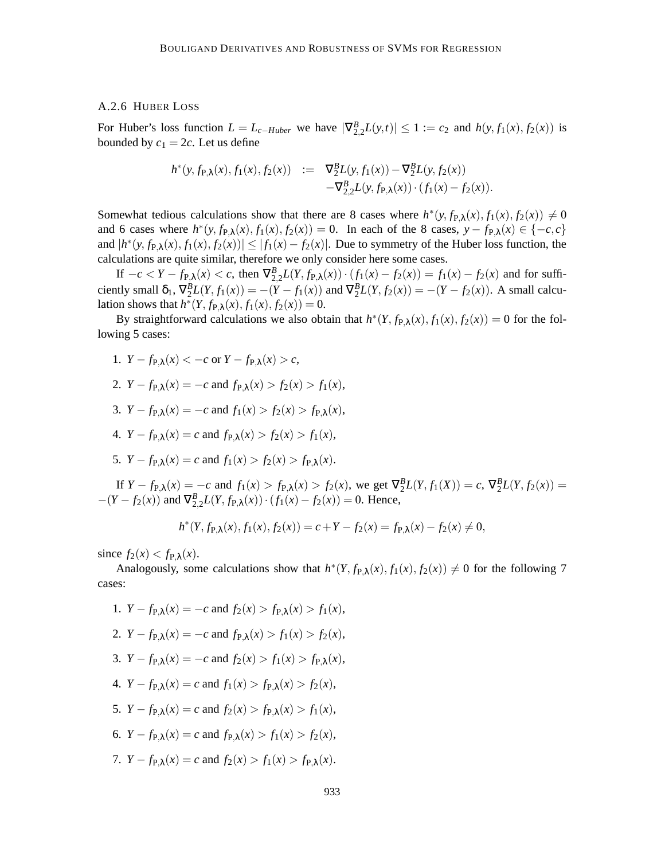#### A.2.6 HUBER LOSS

For Huber's loss function  $L = L_{c-Huber}$  we have  $|\nabla_{2,2}^{B}L(y,t)| \leq 1 := c_2$  and  $h(y, f_1(x), f_2(x))$  is bounded by  $c_1 = 2c$ . Let us define

$$
h^*(y, f_{P,\lambda}(x), f_1(x), f_2(x)) := \nabla_2^B L(y, f_1(x)) - \nabla_2^B L(y, f_2(x)) - \nabla_2^B L(y, f_{P,\lambda}(x)) \cdot (f_1(x) - f_2(x)).
$$

Somewhat tedious calculations show that there are 8 cases where  $h^*(y, f_{P,\lambda}(x), f_1(x), f_2(x)) \neq 0$ and 6 cases where  $h^*(y, f_{P,\lambda}(x), f_1(x), f_2(x)) = 0$ . In each of the 8 cases,  $y - f_{P,\lambda}(x) \in \{-c, c\}$ and  $|h^*(y, f_{P,\lambda}(x), f_1(x), f_2(x))| \leq |f_1(x) - f_2(x)|$ . Due to symmetry of the Huber loss function, the calculations are quite similar, therefore we only consider here some cases.

If  $-c < Y - f_{P,\lambda}(x) < c$ , then  $∇_{2,2}^{B}L(Y, f_{P,\lambda}(x)) \cdot (f_1(x) - f_2(x)) = f_1(x) - f_2(x)$  and for sufficiently small  $\delta_1$ ,  $\nabla_2^B L(Y, f_1(x)) = -(Y - f_1(x))$  and  $\nabla_2^B L(Y, f_2(x)) = -(Y - f_2(x))$ . A small calculation shows that  $h^*(Y, f_{P,\lambda}(x), f_1(x), f_2(x)) = 0$ .

By straightforward calculations we also obtain that  $h^*(Y, f_{P,\lambda}(x), f_1(x), f_2(x)) = 0$  for the following 5 cases:

- 1.  $Y f_{P\lambda}(x) < -c$  or  $Y f_{P\lambda}(x) > c$ ,
- 2.  $Y f_{P\lambda}(x) = -c$  and  $f_{P\lambda}(x) > f_2(x) > f_1(x)$ ,
- 3. *Y* − *f*<sub>P</sub> $_{\lambda}(x) = -c$  and  $f_1(x) > f_2(x) > f_{\text{p}} \lambda(x)$ ,
- 4.  $Y f_{P\lambda}(x) = c$  and  $f_{P\lambda}(x) > f_2(x) > f_1(x)$ ,
- 5. *Y* − *f*<sub>P</sub> $_{\lambda}(x) = c$  and *f*<sub>1</sub> $(x) > f_{2}(x) > f_{P}$  $_{\lambda}(x)$ .

If  $Y - f_{P,\lambda}(x) = -c$  and  $f_1(x) > f_{P,\lambda}(x) > f_2(x)$ , we get  $\nabla_2^B L(Y, f_1(X)) = c$ ,  $\nabla_2^B L(Y, f_2(x)) = c$  $-(Y - f_2(x))$  and  $\nabla_{2,2}^B L(Y, f_{P,\lambda}(x)) \cdot (f_1(x) - f_2(x)) = 0$ . Hence,

$$
h^*(Y, f_{\mathbf{P}, \lambda}(x), f_1(x), f_2(x)) = c + Y - f_2(x) = f_{\mathbf{P}, \lambda}(x) - f_2(x) \neq 0,
$$

since  $f_2(x) < f_{P,\lambda}(x)$ .

Analogously, some calculations show that  $h^*(Y, f_{P,\lambda}(x), f_1(x), f_2(x)) \neq 0$  for the following 7 cases:

- 1.  $Y f_{P\lambda}(x) = -c$  and  $f_2(x) > f_{P\lambda}(x) > f_1(x)$ , 2.  $Y - f_{P\lambda}(x) = -c$  and  $f_{P\lambda}(x) > f_1(x) > f_2(x)$ , 3. *Y* − *f*<sub>P</sub> $_{\lambda}(x) = -c$  and  $f_{2}(x) > f_{1}(x) > f_{p}{}_{\lambda}(x)$ , 4.  $Y - f_{P\lambda}(x) = c$  and  $f_1(x) > f_{P\lambda}(x) > f_2(x)$ , 5.  $Y - f_{P\lambda}(x) = c$  and  $f_2(x) > f_{P\lambda}(x) > f_1(x)$ , 6.  $Y - f_{P\lambda}(x) = c$  and  $f_{P\lambda}(x) > f_1(x) > f_2(x)$ ,
- 7.  $Y f_{P\lambda}(x) = c$  and  $f_2(x) > f_1(x) > f_{P\lambda}(x)$ .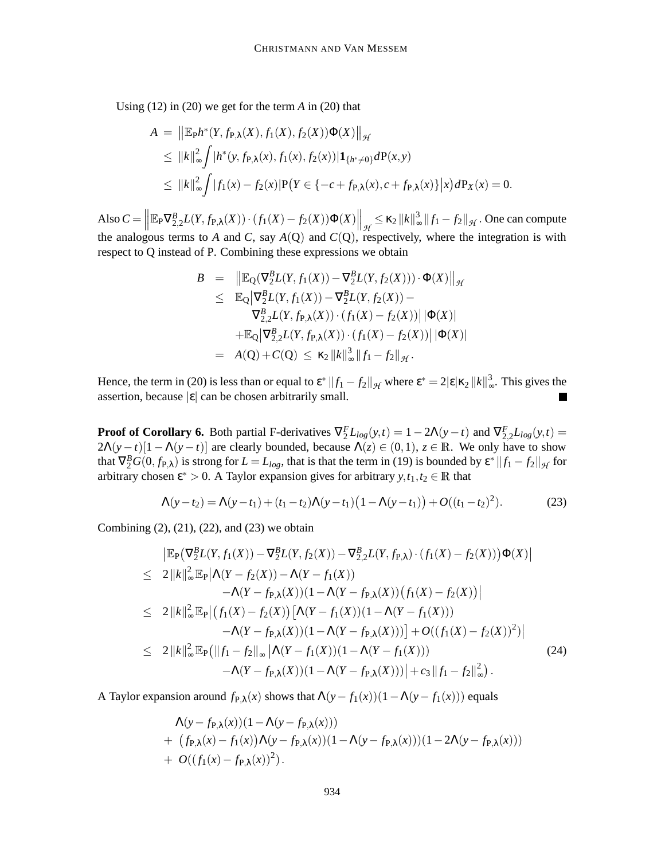Using (12) in (20) we get for the term *A* in (20) that

$$
A = ||\mathbb{E}_{P}h^{*}(Y, f_{P,\lambda}(X), f_{1}(X), f_{2}(X))\Phi(X)||_{\mathcal{H}}
$$
  
\n
$$
\leq ||k||_{\infty}^{2} \int |h^{*}(y, f_{P,\lambda}(x), f_{1}(x), f_{2}(x))| \mathbf{1}_{\{h^{*}\neq 0\}} dP(x, y)
$$
  
\n
$$
\leq ||k||_{\infty}^{2} \int |f_{1}(x) - f_{2}(x)| P(Y \in \{-c + f_{P,\lambda}(x), c + f_{P,\lambda}(x)\}|x) dP_{X}(x) = 0.
$$

 $\text{Also } C = \left\| \mathbb{E}_{P} \nabla_{2,2}^{B} L(Y, f_{P,\lambda}(X)) \cdot (f_{1}(X) - f_{2}(X)) \Phi(X) \right\|_{\mathcal{H}} \leq \kappa_{2} \|k\|_{\infty}^{3}$  $\int_{\infty}^{3} ||f_1 - f_2||_{\mathcal{H}}$ . One can compute the analogous terms to *A* and *C*, say  $A(Q)$  and  $C(Q)$ , respectively, where the integration is with respect to Q instead of P. Combining these expressions we obtain

$$
B = ||\mathbb{E}_{Q}(\nabla_{2}^{B}L(Y, f_{1}(X)) - \nabla_{2}^{B}L(Y, f_{2}(X))) \cdot \Phi(X)||_{\mathcal{H}}
$$
  
\n
$$
\leq \mathbb{E}_{Q}|\nabla_{2}^{B}L(Y, f_{1}(X)) - \nabla_{2}^{B}L(Y, f_{2}(X)) - \nabla_{2,2}^{B}L(Y, f_{P,\lambda}(X)) \cdot (f_{1}(X) - f_{2}(X))||\Phi(X)|
$$
  
\n
$$
+ \mathbb{E}_{Q}|\nabla_{2,2}^{B}L(Y, f_{P,\lambda}(X)) \cdot (f_{1}(X) - f_{2}(X))||\Phi(X)|
$$
  
\n
$$
= A(Q) + C(Q) \leq \kappa_{2}||k||_{\infty}^{3}||f_{1} - f_{2}||_{\mathcal{H}}.
$$

Hence, the term in (20) is less than or equal to  $\epsilon^* \|f_1 - f_2\|_{\mathcal{H}}$  where  $\epsilon^* = 2 |\epsilon| \kappa_2 \|k\|_{\infty}^3$  $\int_{\infty}^{3}$ . This gives the assertion, because  $|\varepsilon|$  can be chosen arbitrarily small.

**Proof** of Corollary 6. Both partial F-derivatives  $\nabla_2^F L_{log}(y,t) = 1 - 2\Lambda(y-t)$  and  $\nabla_{2,2}^F L_{log}(y,t) =$  $2\Lambda(y-t)[1-\Lambda(y-t)]$  are clearly bounded, because  $\Lambda(z) \in (0,1)$ ,  $z \in \mathbb{R}$ . We only have to show that  $\nabla_2^B G(0, f_{\mathbf{P}, \lambda})$  is strong for  $L = L_{log}$ , that is that the term in (19) is bounded by  $\mathbf{\varepsilon}^* ||f_1 - f_2||_{\mathcal{H}}$  for arbitrary chosen  $\varepsilon^* > 0$ . A Taylor expansion gives for arbitrary  $y, t_1, t_2 \in \mathbb{R}$  that

$$
\Lambda(y-t_2) = \Lambda(y-t_1) + (t_1-t_2)\Lambda(y-t_1)\left(1-\Lambda(y-t_1)\right) + O((t_1-t_2)^2). \tag{23}
$$

Combining (2), (21), (22), and (23) we obtain

$$
\begin{split}\n&= \|\mathbb{E}_{P}\big(\nabla_{2}^{B}L(Y,f_{1}(X)) - \nabla_{2}^{B}L(Y,f_{2}(X)) - \nabla_{2,2}^{B}L(Y,f_{P,\lambda})\cdot(f_{1}(X) - f_{2}(X))\big)\Phi(X)\| \\
&\leq 2\|k\|_{\infty}^{2}\mathbb{E}_{P}\big|\Lambda(Y - f_{2}(X)) - \Lambda(Y - f_{1}(X)) \\
&\quad - \Lambda(Y - f_{P,\lambda}(X))(1 - \Lambda(Y - f_{P,\lambda}(X))(f_{1}(X) - f_{2}(X))\big| \\
&\leq 2\|k\|_{\infty}^{2}\mathbb{E}_{P}\big|\big(f_{1}(X) - f_{2}(X)\big)\big[\Lambda(Y - f_{1}(X))(1 - \Lambda(Y - f_{1}(X))) \\
&\quad - \Lambda(Y - f_{P,\lambda}(X))(1 - \Lambda(Y - f_{P,\lambda}(X)))\big] + O((f_{1}(X) - f_{2}(X))^2)\big| \\
&\leq 2\|k\|_{\infty}^{2}\mathbb{E}_{P}\big(\|f_{1} - f_{2}\|_{\infty}\big|\Lambda(Y - f_{1}(X))(1 - \Lambda(Y - f_{1}(X))) \\
&\quad - \Lambda(Y - f_{P,\lambda}(X))(1 - \Lambda(Y - f_{P,\lambda}(X)))\big| + c_{3}\|f_{1} - f_{2}\|_{\infty}^{2}\big).\n\end{split} \tag{24}
$$

A Taylor expansion around  $f_{P,\lambda}(x)$  shows that  $\Lambda(y - f_1(x))(1 - \Lambda(y - f_1(x)))$  equals

$$
\Lambda(y - f_{P,\lambda}(x))(1 - \Lambda(y - f_{P,\lambda}(x))) \n+ (f_{P,\lambda}(x) - f_1(x))\Lambda(y - f_{P,\lambda}(x))(1 - \Lambda(y - f_{P,\lambda}(x)))(1 - 2\Lambda(y - f_{P,\lambda}(x))) \n+ O((f_1(x) - f_{P,\lambda}(x))^2).
$$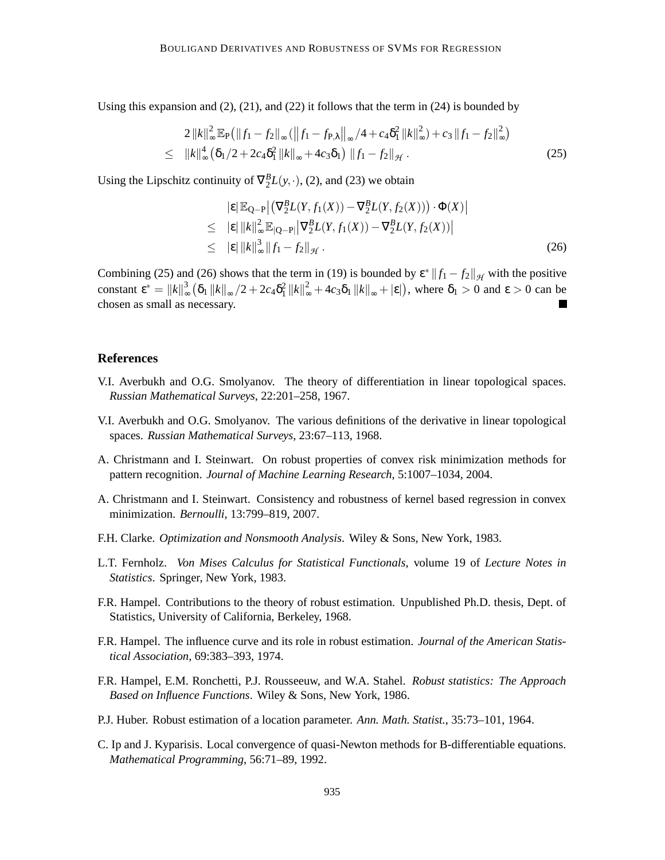Using this expansion and  $(2)$ ,  $(21)$ , and  $(22)$  it follows that the term in  $(24)$  is bounded by

$$
2\|k\|_{\infty}^{2} \mathbb{E}_{P}(\|f_{1}-f_{2}\|_{\infty}(\|f_{1}-f_{P,\lambda}\|_{\infty}/4+c_{4}\delta_{1}^{2}\|k\|_{\infty}^{2})+c_{3}\|f_{1}-f_{2}\|_{\infty}^{2})
$$
  
\n
$$
\leq \|k\|_{\infty}^{4} (\delta_{1}/2+2c_{4}\delta_{1}^{2}\|k\|_{\infty}+4c_{3}\delta_{1})\|f_{1}-f_{2}\|_{\mathcal{H}}.
$$
\n(25)

Using the Lipschitz continuity of  $\nabla_2^B L(y, \cdot)$ , (2), and (23) we obtain

$$
|\varepsilon| \mathbb{E}_{Q-P} | (\nabla_2^B L(Y, f_1(X)) - \nabla_2^B L(Y, f_2(X))) \cdot \Phi(X) |
$$
  
\n
$$
\leq |\varepsilon| ||k||_{\infty}^2 \mathbb{E}_{|Q-P|} |\nabla_2^B L(Y, f_1(X)) - \nabla_2^B L(Y, f_2(X)) |
$$
  
\n
$$
\leq |\varepsilon| ||k||_{\infty}^3 ||f_1 - f_2||_{\mathcal{H}}.
$$
\n(26)

Combining (25) and (26) shows that the term in (19) is bounded by  $\epsilon^* ||f_1 - f_2||_{\mathcal{H}}$  with the positive constant  $\varepsilon^* = ||k||^3_{\infty}$  $\frac{3}{\infty}$  ( $\delta_1 ||k||_{\infty} / 2 + 2c_4 \delta_1^2 ||k||_{\infty}^2 + 4c_3 \delta_1 ||k||_{\infty} + |\varepsilon|$ ), where  $\delta_1 > 0$  and  $\varepsilon > 0$  can be chosen as small as necessary.

### **References**

- V.I. Averbukh and O.G. Smolyanov. The theory of differentiation in linear topological spaces. *Russian Mathematical Surveys*, 22:201–258, 1967.
- V.I. Averbukh and O.G. Smolyanov. The various definitions of the derivative in linear topological spaces. *Russian Mathematical Surveys*, 23:67–113, 1968.
- A. Christmann and I. Steinwart. On robust properties of convex risk minimization methods for pattern recognition. *Journal of Machine Learning Research*, 5:1007–1034, 2004.
- A. Christmann and I. Steinwart. Consistency and robustness of kernel based regression in convex minimization. *Bernoulli*, 13:799–819, 2007.
- F.H. Clarke. *Optimization and Nonsmooth Analysis*. Wiley & Sons, New York, 1983.
- L.T. Fernholz. *Von Mises Calculus for Statistical Functionals*, volume 19 of *Lecture Notes in Statistics*. Springer, New York, 1983.
- F.R. Hampel. Contributions to the theory of robust estimation. Unpublished Ph.D. thesis, Dept. of Statistics, University of California, Berkeley, 1968.
- F.R. Hampel. The influence curve and its role in robust estimation. *Journal of the American Statistical Association*, 69:383–393, 1974.
- F.R. Hampel, E.M. Ronchetti, P.J. Rousseeuw, and W.A. Stahel. *Robust statistics: The Approach Based on Influence Functions*. Wiley & Sons, New York, 1986.
- P.J. Huber. Robust estimation of a location parameter. *Ann. Math. Statist.*, 35:73–101, 1964.
- C. Ip and J. Kyparisis. Local convergence of quasi-Newton methods for B-differentiable equations. *Mathematical Programming*, 56:71–89, 1992.